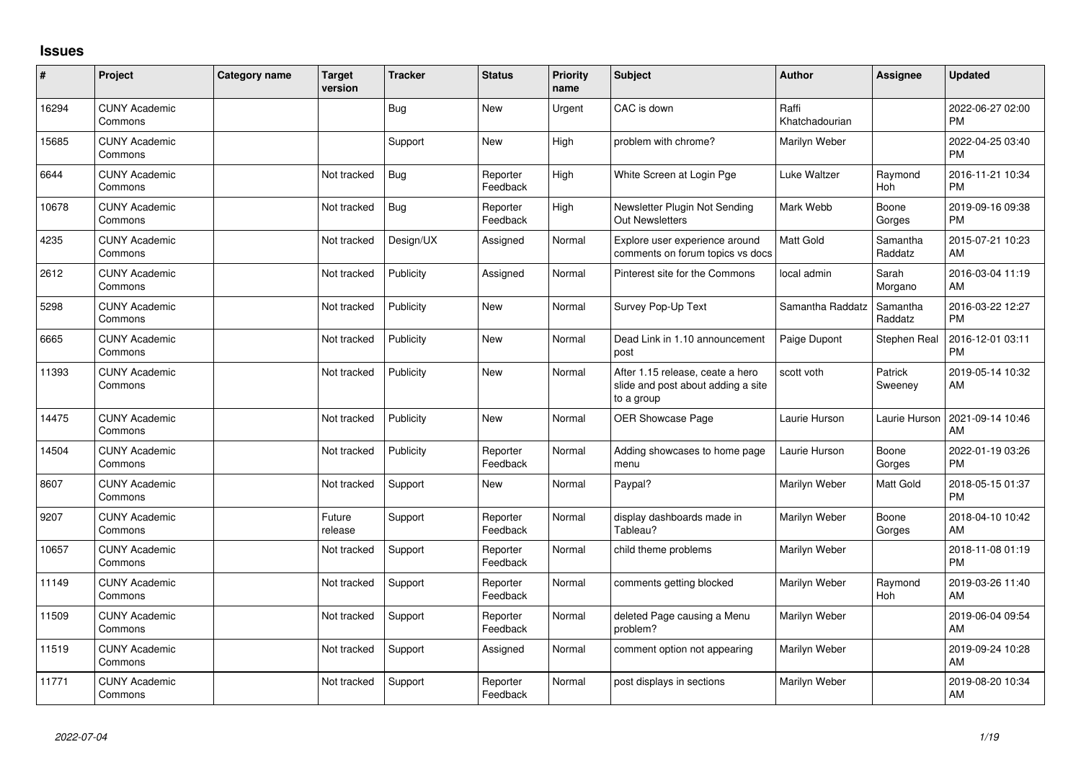## **Issues**

| #     | Project                         | Category name | <b>Target</b><br>version | <b>Tracker</b> | <b>Status</b>        | <b>Priority</b><br>name | <b>Subject</b>                                                                       | <b>Author</b>           | <b>Assignee</b>       | <b>Updated</b>                |
|-------|---------------------------------|---------------|--------------------------|----------------|----------------------|-------------------------|--------------------------------------------------------------------------------------|-------------------------|-----------------------|-------------------------------|
| 16294 | <b>CUNY Academic</b><br>Commons |               |                          | <b>Bug</b>     | <b>New</b>           | Urgent                  | CAC is down                                                                          | Raffi<br>Khatchadourian |                       | 2022-06-27 02:00<br><b>PM</b> |
| 15685 | <b>CUNY Academic</b><br>Commons |               |                          | Support        | <b>New</b>           | High                    | problem with chrome?                                                                 | Marilyn Weber           |                       | 2022-04-25 03:40<br><b>PM</b> |
| 6644  | <b>CUNY Academic</b><br>Commons |               | Not tracked              | <b>Bug</b>     | Reporter<br>Feedback | High                    | White Screen at Login Pge                                                            | Luke Waltzer            | Raymond<br>Hoh        | 2016-11-21 10:34<br><b>PM</b> |
| 10678 | <b>CUNY Academic</b><br>Commons |               | Not tracked              | Bug            | Reporter<br>Feedback | High                    | Newsletter Plugin Not Sending<br><b>Out Newsletters</b>                              | Mark Webb               | Boone<br>Gorges       | 2019-09-16 09:38<br><b>PM</b> |
| 4235  | <b>CUNY Academic</b><br>Commons |               | Not tracked              | Design/UX      | Assigned             | Normal                  | Explore user experience around<br>comments on forum topics vs docs                   | <b>Matt Gold</b>        | Samantha<br>Raddatz   | 2015-07-21 10:23<br>AM        |
| 2612  | <b>CUNY Academic</b><br>Commons |               | Not tracked              | Publicity      | Assigned             | Normal                  | Pinterest site for the Commons                                                       | local admin             | Sarah<br>Morgano      | 2016-03-04 11:19<br>AM        |
| 5298  | <b>CUNY Academic</b><br>Commons |               | Not tracked              | Publicity      | <b>New</b>           | Normal                  | Survey Pop-Up Text                                                                   | Samantha Raddatz        | Samantha<br>Raddatz   | 2016-03-22 12:27<br><b>PM</b> |
| 6665  | <b>CUNY Academic</b><br>Commons |               | Not tracked              | Publicity      | <b>New</b>           | Normal                  | Dead Link in 1.10 announcement<br>post                                               | Paige Dupont            | Stephen Real          | 2016-12-01 03:11<br><b>PM</b> |
| 11393 | <b>CUNY Academic</b><br>Commons |               | Not tracked              | Publicity      | <b>New</b>           | Normal                  | After 1.15 release, ceate a hero<br>slide and post about adding a site<br>to a group | scott voth              | Patrick<br>Sweeney    | 2019-05-14 10:32<br>AM        |
| 14475 | <b>CUNY Academic</b><br>Commons |               | Not tracked              | Publicity      | <b>New</b>           | Normal                  | OER Showcase Page                                                                    | Laurie Hurson           | Laurie Hurson         | 2021-09-14 10:46<br>AM        |
| 14504 | <b>CUNY Academic</b><br>Commons |               | Not tracked              | Publicity      | Reporter<br>Feedback | Normal                  | Adding showcases to home page<br>menu                                                | Laurie Hurson           | Boone<br>Gorges       | 2022-01-19 03:26<br><b>PM</b> |
| 8607  | <b>CUNY Academic</b><br>Commons |               | Not tracked              | Support        | <b>New</b>           | Normal                  | Paypal?                                                                              | Marilyn Weber           | Matt Gold             | 2018-05-15 01:37<br><b>PM</b> |
| 9207  | <b>CUNY Academic</b><br>Commons |               | Future<br>release        | Support        | Reporter<br>Feedback | Normal                  | display dashboards made in<br>Tableau?                                               | Marilyn Weber           | Boone<br>Gorges       | 2018-04-10 10:42<br>AM        |
| 10657 | <b>CUNY Academic</b><br>Commons |               | Not tracked              | Support        | Reporter<br>Feedback | Normal                  | child theme problems                                                                 | Marilyn Weber           |                       | 2018-11-08 01:19<br><b>PM</b> |
| 11149 | <b>CUNY Academic</b><br>Commons |               | Not tracked              | Support        | Reporter<br>Feedback | Normal                  | comments getting blocked                                                             | Marilyn Weber           | Raymond<br><b>Hoh</b> | 2019-03-26 11:40<br>AM        |
| 11509 | <b>CUNY Academic</b><br>Commons |               | Not tracked              | Support        | Reporter<br>Feedback | Normal                  | deleted Page causing a Menu<br>problem?                                              | Marilyn Weber           |                       | 2019-06-04 09:54<br>AM        |
| 11519 | <b>CUNY Academic</b><br>Commons |               | Not tracked              | Support        | Assigned             | Normal                  | comment option not appearing                                                         | Marilyn Weber           |                       | 2019-09-24 10:28<br>AM        |
| 11771 | <b>CUNY Academic</b><br>Commons |               | Not tracked              | Support        | Reporter<br>Feedback | Normal                  | post displays in sections                                                            | Marilyn Weber           |                       | 2019-08-20 10:34<br>AM        |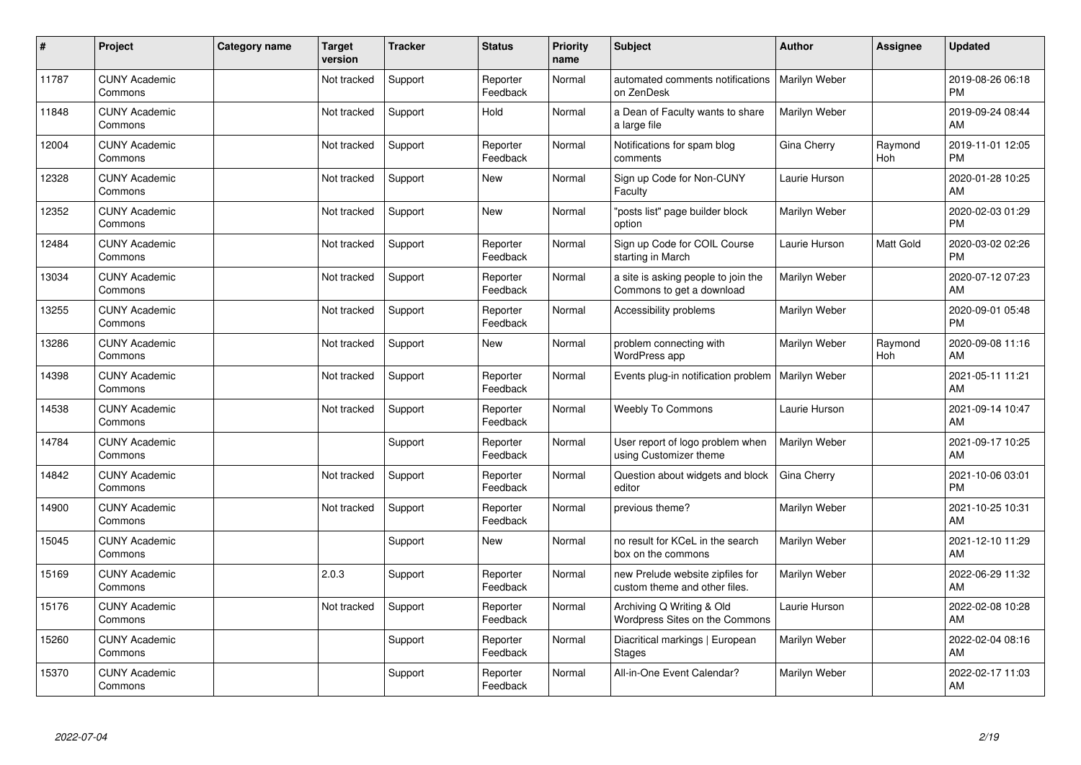| #     | Project                         | <b>Category name</b> | <b>Target</b><br>version | <b>Tracker</b> | <b>Status</b>        | <b>Priority</b><br>name | <b>Subject</b>                                                    | <b>Author</b> | <b>Assignee</b> | <b>Updated</b>                |
|-------|---------------------------------|----------------------|--------------------------|----------------|----------------------|-------------------------|-------------------------------------------------------------------|---------------|-----------------|-------------------------------|
| 11787 | <b>CUNY Academic</b><br>Commons |                      | Not tracked              | Support        | Reporter<br>Feedback | Normal                  | automated comments notifications<br>on ZenDesk                    | Marilyn Weber |                 | 2019-08-26 06:18<br><b>PM</b> |
| 11848 | <b>CUNY Academic</b><br>Commons |                      | Not tracked              | Support        | Hold                 | Normal                  | a Dean of Faculty wants to share<br>a large file                  | Marilyn Weber |                 | 2019-09-24 08:44<br>AM        |
| 12004 | <b>CUNY Academic</b><br>Commons |                      | Not tracked              | Support        | Reporter<br>Feedback | Normal                  | Notifications for spam blog<br>comments                           | Gina Cherry   | Raymond<br>Hoh  | 2019-11-01 12:05<br><b>PM</b> |
| 12328 | <b>CUNY Academic</b><br>Commons |                      | Not tracked              | Support        | <b>New</b>           | Normal                  | Sign up Code for Non-CUNY<br>Faculty                              | Laurie Hurson |                 | 2020-01-28 10:25<br>AM        |
| 12352 | <b>CUNY Academic</b><br>Commons |                      | Not tracked              | Support        | <b>New</b>           | Normal                  | "posts list" page builder block<br>option                         | Marilyn Weber |                 | 2020-02-03 01:29<br><b>PM</b> |
| 12484 | <b>CUNY Academic</b><br>Commons |                      | Not tracked              | Support        | Reporter<br>Feedback | Normal                  | Sign up Code for COIL Course<br>starting in March                 | Laurie Hurson | Matt Gold       | 2020-03-02 02:26<br><b>PM</b> |
| 13034 | <b>CUNY Academic</b><br>Commons |                      | Not tracked              | Support        | Reporter<br>Feedback | Normal                  | a site is asking people to join the<br>Commons to get a download  | Marilyn Weber |                 | 2020-07-12 07:23<br>AM        |
| 13255 | <b>CUNY Academic</b><br>Commons |                      | Not tracked              | Support        | Reporter<br>Feedback | Normal                  | Accessibility problems                                            | Marilyn Weber |                 | 2020-09-01 05:48<br><b>PM</b> |
| 13286 | <b>CUNY Academic</b><br>Commons |                      | Not tracked              | Support        | <b>New</b>           | Normal                  | problem connecting with<br>WordPress app                          | Marilyn Weber | Raymond<br>Hoh  | 2020-09-08 11:16<br>AM        |
| 14398 | <b>CUNY Academic</b><br>Commons |                      | Not tracked              | Support        | Reporter<br>Feedback | Normal                  | Events plug-in notification problem                               | Marilyn Weber |                 | 2021-05-11 11:21<br>AM        |
| 14538 | <b>CUNY Academic</b><br>Commons |                      | Not tracked              | Support        | Reporter<br>Feedback | Normal                  | <b>Weebly To Commons</b>                                          | Laurie Hurson |                 | 2021-09-14 10:47<br>AM        |
| 14784 | <b>CUNY Academic</b><br>Commons |                      |                          | Support        | Reporter<br>Feedback | Normal                  | User report of logo problem when<br>using Customizer theme        | Marilyn Weber |                 | 2021-09-17 10:25<br>AM        |
| 14842 | <b>CUNY Academic</b><br>Commons |                      | Not tracked              | Support        | Reporter<br>Feedback | Normal                  | Question about widgets and block<br>editor                        | Gina Cherry   |                 | 2021-10-06 03:01<br><b>PM</b> |
| 14900 | <b>CUNY Academic</b><br>Commons |                      | Not tracked              | Support        | Reporter<br>Feedback | Normal                  | previous theme?                                                   | Marilyn Weber |                 | 2021-10-25 10:31<br>AM        |
| 15045 | <b>CUNY Academic</b><br>Commons |                      |                          | Support        | New                  | Normal                  | no result for KCeL in the search<br>box on the commons            | Marilyn Weber |                 | 2021-12-10 11:29<br>AM        |
| 15169 | <b>CUNY Academic</b><br>Commons |                      | 2.0.3                    | Support        | Reporter<br>Feedback | Normal                  | new Prelude website zipfiles for<br>custom theme and other files. | Marilyn Weber |                 | 2022-06-29 11:32<br>AM        |
| 15176 | <b>CUNY Academic</b><br>Commons |                      | Not tracked              | Support        | Reporter<br>Feedback | Normal                  | Archiving Q Writing & Old<br>Wordpress Sites on the Commons       | Laurie Hurson |                 | 2022-02-08 10:28<br>AM        |
| 15260 | <b>CUNY Academic</b><br>Commons |                      |                          | Support        | Reporter<br>Feedback | Normal                  | Diacritical markings   European<br>Stages                         | Marilyn Weber |                 | 2022-02-04 08:16<br>AM        |
| 15370 | <b>CUNY Academic</b><br>Commons |                      |                          | Support        | Reporter<br>Feedback | Normal                  | All-in-One Event Calendar?                                        | Marilyn Weber |                 | 2022-02-17 11:03<br>AM        |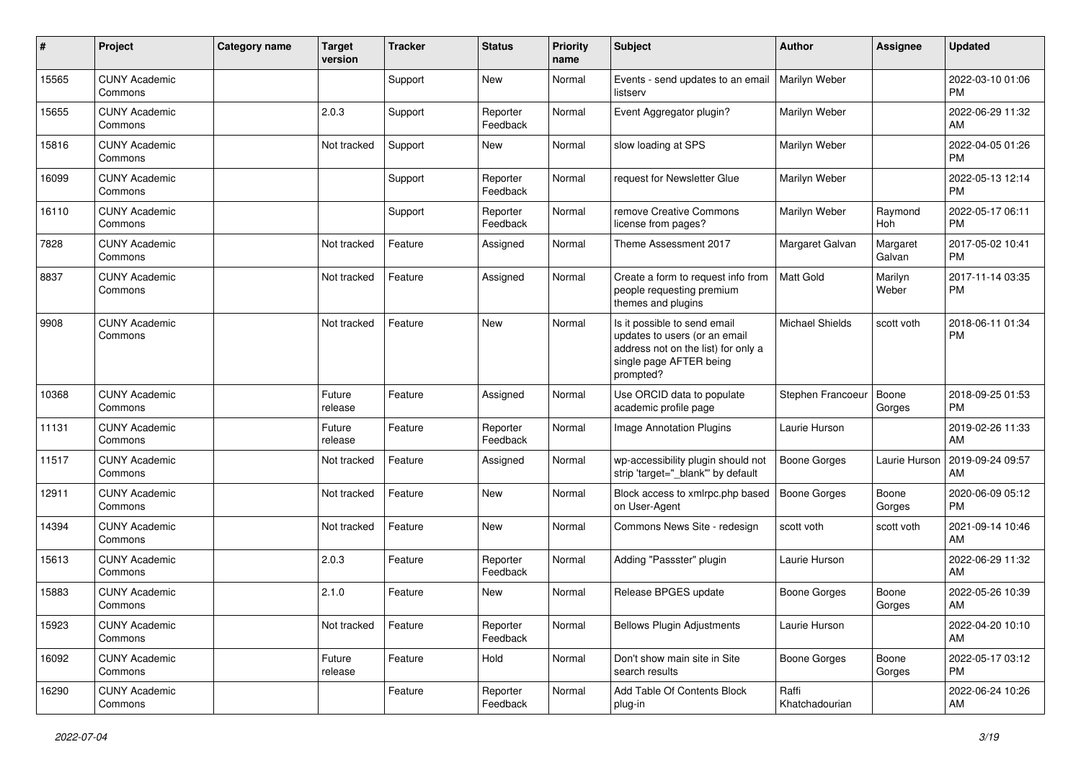| #     | Project                         | Category name | <b>Target</b><br>version | <b>Tracker</b> | <b>Status</b>        | Priority<br>name | <b>Subject</b>                                                                                                                               | <b>Author</b>           | <b>Assignee</b>    | <b>Updated</b>                |
|-------|---------------------------------|---------------|--------------------------|----------------|----------------------|------------------|----------------------------------------------------------------------------------------------------------------------------------------------|-------------------------|--------------------|-------------------------------|
| 15565 | <b>CUNY Academic</b><br>Commons |               |                          | Support        | <b>New</b>           | Normal           | Events - send updates to an email<br>listserv                                                                                                | Marilyn Weber           |                    | 2022-03-10 01:06<br><b>PM</b> |
| 15655 | <b>CUNY Academic</b><br>Commons |               | 2.0.3                    | Support        | Reporter<br>Feedback | Normal           | Event Aggregator plugin?                                                                                                                     | Marilyn Weber           |                    | 2022-06-29 11:32<br>AM        |
| 15816 | <b>CUNY Academic</b><br>Commons |               | Not tracked              | Support        | New                  | Normal           | slow loading at SPS                                                                                                                          | Marilyn Weber           |                    | 2022-04-05 01:26<br><b>PM</b> |
| 16099 | <b>CUNY Academic</b><br>Commons |               |                          | Support        | Reporter<br>Feedback | Normal           | request for Newsletter Glue                                                                                                                  | Marilyn Weber           |                    | 2022-05-13 12:14<br><b>PM</b> |
| 16110 | <b>CUNY Academic</b><br>Commons |               |                          | Support        | Reporter<br>Feedback | Normal           | remove Creative Commons<br>license from pages?                                                                                               | Marilyn Weber           | Raymond<br>Hoh     | 2022-05-17 06:11<br><b>PM</b> |
| 7828  | <b>CUNY Academic</b><br>Commons |               | Not tracked              | Feature        | Assigned             | Normal           | Theme Assessment 2017                                                                                                                        | Margaret Galvan         | Margaret<br>Galvan | 2017-05-02 10:41<br><b>PM</b> |
| 8837  | <b>CUNY Academic</b><br>Commons |               | Not tracked              | Feature        | Assigned             | Normal           | Create a form to request info from<br>people requesting premium<br>themes and plugins                                                        | <b>Matt Gold</b>        | Marilyn<br>Weber   | 2017-11-14 03:35<br><b>PM</b> |
| 9908  | <b>CUNY Academic</b><br>Commons |               | Not tracked              | Feature        | <b>New</b>           | Normal           | Is it possible to send email<br>updates to users (or an email<br>address not on the list) for only a<br>single page AFTER being<br>prompted? | Michael Shields         | scott voth         | 2018-06-11 01:34<br><b>PM</b> |
| 10368 | <b>CUNY Academic</b><br>Commons |               | Future<br>release        | Feature        | Assigned             | Normal           | Use ORCID data to populate<br>academic profile page                                                                                          | Stephen Francoeur       | Boone<br>Gorges    | 2018-09-25 01:53<br><b>PM</b> |
| 11131 | <b>CUNY Academic</b><br>Commons |               | Future<br>release        | Feature        | Reporter<br>Feedback | Normal           | Image Annotation Plugins                                                                                                                     | Laurie Hurson           |                    | 2019-02-26 11:33<br>AM        |
| 11517 | <b>CUNY Academic</b><br>Commons |               | Not tracked              | Feature        | Assigned             | Normal           | wp-accessibility plugin should not<br>strip 'target="_blank" by default                                                                      | <b>Boone Gorges</b>     | Laurie Hurson      | 2019-09-24 09:57<br>AM        |
| 12911 | <b>CUNY Academic</b><br>Commons |               | Not tracked              | Feature        | <b>New</b>           | Normal           | Block access to xmlrpc.php based<br>on User-Agent                                                                                            | <b>Boone Gorges</b>     | Boone<br>Gorges    | 2020-06-09 05:12<br><b>PM</b> |
| 14394 | <b>CUNY Academic</b><br>Commons |               | Not tracked              | Feature        | <b>New</b>           | Normal           | Commons News Site - redesign                                                                                                                 | scott voth              | scott voth         | 2021-09-14 10:46<br>AM        |
| 15613 | <b>CUNY Academic</b><br>Commons |               | 2.0.3                    | Feature        | Reporter<br>Feedback | Normal           | Adding "Passster" plugin                                                                                                                     | Laurie Hurson           |                    | 2022-06-29 11:32<br>AM        |
| 15883 | <b>CUNY Academic</b><br>Commons |               | 2.1.0                    | Feature        | New                  | Normal           | Release BPGES update                                                                                                                         | Boone Gorges            | Boone<br>Gorges    | 2022-05-26 10:39<br>AM        |
| 15923 | <b>CUNY Academic</b><br>Commons |               | Not tracked              | Feature        | Reporter<br>Feedback | Normal           | <b>Bellows Plugin Adjustments</b>                                                                                                            | Laurie Hurson           |                    | 2022-04-20 10:10<br>AM        |
| 16092 | <b>CUNY Academic</b><br>Commons |               | Future<br>release        | Feature        | Hold                 | Normal           | Don't show main site in Site<br>search results                                                                                               | <b>Boone Gorges</b>     | Boone<br>Gorges    | 2022-05-17 03:12<br><b>PM</b> |
| 16290 | <b>CUNY Academic</b><br>Commons |               |                          | Feature        | Reporter<br>Feedback | Normal           | Add Table Of Contents Block<br>plug-in                                                                                                       | Raffi<br>Khatchadourian |                    | 2022-06-24 10:26<br>AM        |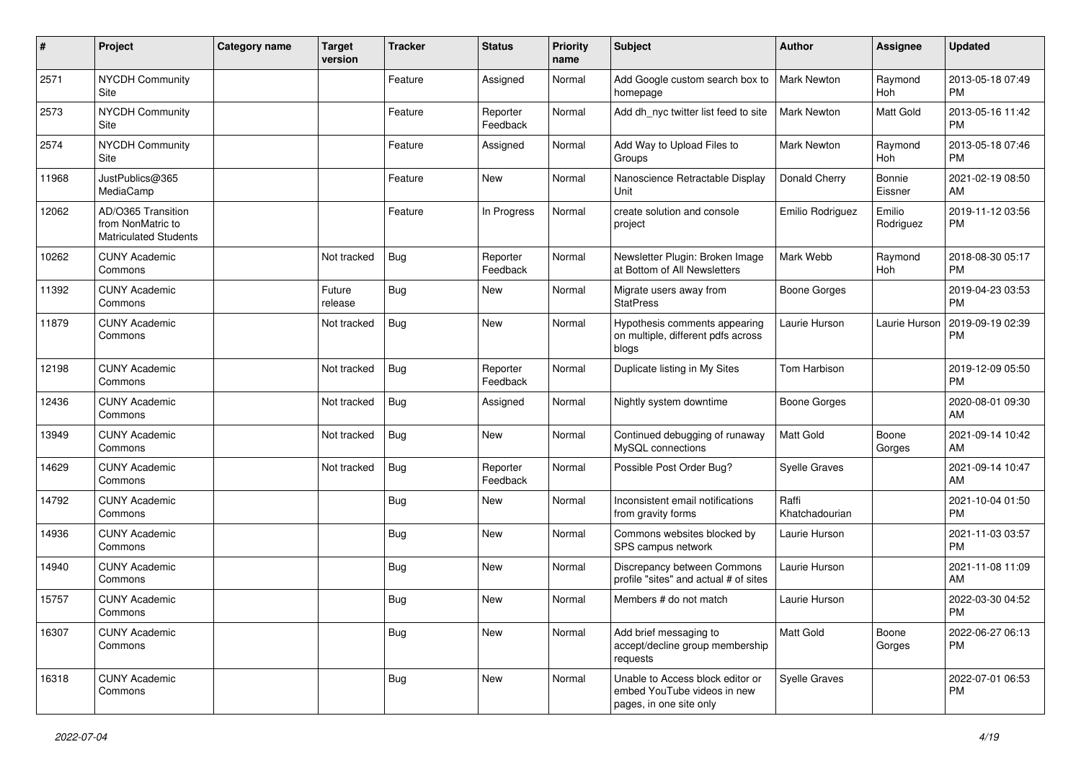| $\pmb{\#}$ | Project                                                                 | Category name | <b>Target</b><br>version | <b>Tracker</b> | <b>Status</b>        | <b>Priority</b><br>name | <b>Subject</b>                                                                             | Author                  | Assignee            | <b>Updated</b>                |
|------------|-------------------------------------------------------------------------|---------------|--------------------------|----------------|----------------------|-------------------------|--------------------------------------------------------------------------------------------|-------------------------|---------------------|-------------------------------|
| 2571       | <b>NYCDH Community</b><br>Site                                          |               |                          | Feature        | Assigned             | Normal                  | Add Google custom search box to<br>homepage                                                | <b>Mark Newton</b>      | Raymond<br>Hoh      | 2013-05-18 07:49<br><b>PM</b> |
| 2573       | NYCDH Community<br>Site                                                 |               |                          | Feature        | Reporter<br>Feedback | Normal                  | Add dh_nyc twitter list feed to site                                                       | <b>Mark Newton</b>      | Matt Gold           | 2013-05-16 11:42<br><b>PM</b> |
| 2574       | <b>NYCDH Community</b><br>Site                                          |               |                          | Feature        | Assigned             | Normal                  | Add Way to Upload Files to<br>Groups                                                       | <b>Mark Newton</b>      | Raymond<br>Hoh      | 2013-05-18 07:46<br><b>PM</b> |
| 11968      | JustPublics@365<br>MediaCamp                                            |               |                          | Feature        | <b>New</b>           | Normal                  | Nanoscience Retractable Display<br>Unit                                                    | Donald Cherry           | Bonnie<br>Eissner   | 2021-02-19 08:50<br>AM        |
| 12062      | AD/O365 Transition<br>from NonMatric to<br><b>Matriculated Students</b> |               |                          | Feature        | In Progress          | Normal                  | create solution and console<br>project                                                     | Emilio Rodriguez        | Emilio<br>Rodriguez | 2019-11-12 03:56<br><b>PM</b> |
| 10262      | <b>CUNY Academic</b><br>Commons                                         |               | Not tracked              | <b>Bug</b>     | Reporter<br>Feedback | Normal                  | Newsletter Plugin: Broken Image<br>at Bottom of All Newsletters                            | Mark Webb               | Raymond<br>Hoh      | 2018-08-30 05:17<br><b>PM</b> |
| 11392      | <b>CUNY Academic</b><br>Commons                                         |               | Future<br>release        | Bug            | New                  | Normal                  | Migrate users away from<br><b>StatPress</b>                                                | <b>Boone Gorges</b>     |                     | 2019-04-23 03:53<br><b>PM</b> |
| 11879      | <b>CUNY Academic</b><br>Commons                                         |               | Not tracked              | <b>Bug</b>     | New                  | Normal                  | Hypothesis comments appearing<br>on multiple, different pdfs across<br>blogs               | Laurie Hurson           | Laurie Hurson       | 2019-09-19 02:39<br><b>PM</b> |
| 12198      | <b>CUNY Academic</b><br>Commons                                         |               | Not tracked              | <b>Bug</b>     | Reporter<br>Feedback | Normal                  | Duplicate listing in My Sites                                                              | Tom Harbison            |                     | 2019-12-09 05:50<br><b>PM</b> |
| 12436      | <b>CUNY Academic</b><br>Commons                                         |               | Not tracked              | <b>Bug</b>     | Assigned             | Normal                  | Nightly system downtime                                                                    | <b>Boone Gorges</b>     |                     | 2020-08-01 09:30<br>AM        |
| 13949      | <b>CUNY Academic</b><br>Commons                                         |               | Not tracked              | Bug            | New                  | Normal                  | Continued debugging of runaway<br>MySQL connections                                        | <b>Matt Gold</b>        | Boone<br>Gorges     | 2021-09-14 10:42<br>AM        |
| 14629      | <b>CUNY Academic</b><br>Commons                                         |               | Not tracked              | Bug            | Reporter<br>Feedback | Normal                  | Possible Post Order Bug?                                                                   | <b>Syelle Graves</b>    |                     | 2021-09-14 10:47<br>AM        |
| 14792      | <b>CUNY Academic</b><br>Commons                                         |               |                          | <b>Bug</b>     | New                  | Normal                  | Inconsistent email notifications<br>from gravity forms                                     | Raffi<br>Khatchadourian |                     | 2021-10-04 01:50<br><b>PM</b> |
| 14936      | <b>CUNY Academic</b><br>Commons                                         |               |                          | <b>Bug</b>     | <b>New</b>           | Normal                  | Commons websites blocked by<br>SPS campus network                                          | Laurie Hurson           |                     | 2021-11-03 03:57<br><b>PM</b> |
| 14940      | <b>CUNY Academic</b><br>Commons                                         |               |                          | Bug            | New                  | Normal                  | Discrepancy between Commons<br>profile "sites" and actual # of sites                       | Laurie Hurson           |                     | 2021-11-08 11:09<br>AM        |
| 15757      | <b>CUNY Academic</b><br>Commons                                         |               |                          | Bug            | New                  | Normal                  | Members # do not match                                                                     | Laurie Hurson           |                     | 2022-03-30 04:52<br>PM        |
| 16307      | <b>CUNY Academic</b><br>Commons                                         |               |                          | <b>Bug</b>     | New                  | Normal                  | Add brief messaging to<br>accept/decline group membership<br>requests                      | Matt Gold               | Boone<br>Gorges     | 2022-06-27 06:13<br>PM.       |
| 16318      | <b>CUNY Academic</b><br>Commons                                         |               |                          | <b>Bug</b>     | New                  | Normal                  | Unable to Access block editor or<br>embed YouTube videos in new<br>pages, in one site only | <b>Syelle Graves</b>    |                     | 2022-07-01 06:53<br><b>PM</b> |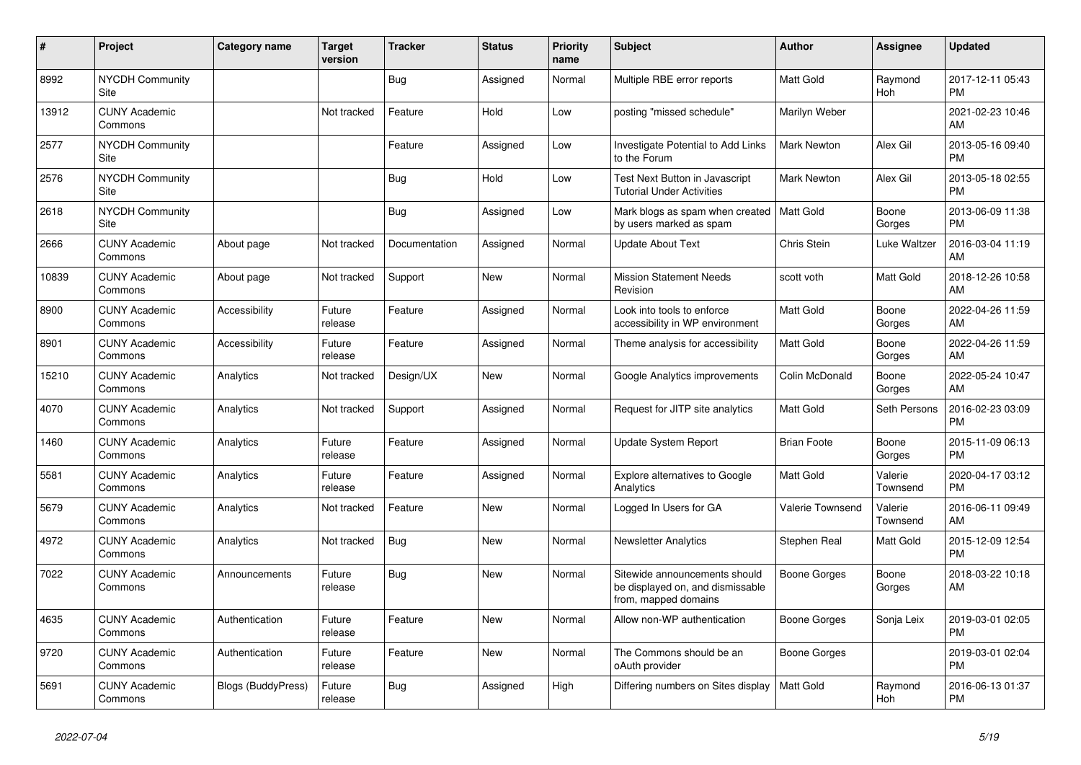| #     | Project                         | <b>Category name</b>      | <b>Target</b><br>version | <b>Tracker</b> | <b>Status</b> | <b>Priority</b><br>name | <b>Subject</b>                                                                            | <b>Author</b>           | <b>Assignee</b>     | <b>Updated</b>                |
|-------|---------------------------------|---------------------------|--------------------------|----------------|---------------|-------------------------|-------------------------------------------------------------------------------------------|-------------------------|---------------------|-------------------------------|
| 8992  | <b>NYCDH Community</b><br>Site  |                           |                          | Bug            | Assigned      | Normal                  | Multiple RBE error reports                                                                | <b>Matt Gold</b>        | Raymond<br>Hoh      | 2017-12-11 05:43<br><b>PM</b> |
| 13912 | <b>CUNY Academic</b><br>Commons |                           | Not tracked              | Feature        | Hold          | Low                     | posting "missed schedule"                                                                 | Marilyn Weber           |                     | 2021-02-23 10:46<br>AM        |
| 2577  | <b>NYCDH Community</b><br>Site  |                           |                          | Feature        | Assigned      | Low                     | Investigate Potential to Add Links<br>to the Forum                                        | <b>Mark Newton</b>      | Alex Gil            | 2013-05-16 09:40<br><b>PM</b> |
| 2576  | <b>NYCDH Community</b><br>Site  |                           |                          | Bug            | Hold          | Low                     | Test Next Button in Javascript<br><b>Tutorial Under Activities</b>                        | <b>Mark Newton</b>      | Alex Gil            | 2013-05-18 02:55<br><b>PM</b> |
| 2618  | <b>NYCDH Community</b><br>Site  |                           |                          | Bug            | Assigned      | Low                     | Mark blogs as spam when created   Matt Gold<br>by users marked as spam                    |                         | Boone<br>Gorges     | 2013-06-09 11:38<br><b>PM</b> |
| 2666  | <b>CUNY Academic</b><br>Commons | About page                | Not tracked              | Documentation  | Assigned      | Normal                  | <b>Update About Text</b>                                                                  | Chris Stein             | Luke Waltzer        | 2016-03-04 11:19<br>AM        |
| 10839 | <b>CUNY Academic</b><br>Commons | About page                | Not tracked              | Support        | <b>New</b>    | Normal                  | <b>Mission Statement Needs</b><br>Revision                                                | scott voth              | Matt Gold           | 2018-12-26 10:58<br>AM        |
| 8900  | <b>CUNY Academic</b><br>Commons | Accessibility             | Future<br>release        | Feature        | Assigned      | Normal                  | Look into tools to enforce<br>accessibility in WP environment                             | <b>Matt Gold</b>        | Boone<br>Gorges     | 2022-04-26 11:59<br>AM        |
| 8901  | <b>CUNY Academic</b><br>Commons | Accessibility             | Future<br>release        | Feature        | Assigned      | Normal                  | Theme analysis for accessibility                                                          | <b>Matt Gold</b>        | Boone<br>Gorges     | 2022-04-26 11:59<br>AM        |
| 15210 | <b>CUNY Academic</b><br>Commons | Analytics                 | Not tracked              | Design/UX      | <b>New</b>    | Normal                  | Google Analytics improvements                                                             | Colin McDonald          | Boone<br>Gorges     | 2022-05-24 10:47<br>AM        |
| 4070  | <b>CUNY Academic</b><br>Commons | Analytics                 | Not tracked              | Support        | Assigned      | Normal                  | Request for JITP site analytics                                                           | <b>Matt Gold</b>        | Seth Persons        | 2016-02-23 03:09<br><b>PM</b> |
| 1460  | <b>CUNY Academic</b><br>Commons | Analytics                 | Future<br>release        | Feature        | Assigned      | Normal                  | Update System Report                                                                      | <b>Brian Foote</b>      | Boone<br>Gorges     | 2015-11-09 06:13<br><b>PM</b> |
| 5581  | <b>CUNY Academic</b><br>Commons | Analytics                 | Future<br>release        | Feature        | Assigned      | Normal                  | <b>Explore alternatives to Google</b><br>Analytics                                        | <b>Matt Gold</b>        | Valerie<br>Townsend | 2020-04-17 03:12<br><b>PM</b> |
| 5679  | <b>CUNY Academic</b><br>Commons | Analytics                 | Not tracked              | Feature        | <b>New</b>    | Normal                  | Logged In Users for GA                                                                    | <b>Valerie Townsend</b> | Valerie<br>Townsend | 2016-06-11 09:49<br>AM        |
| 4972  | <b>CUNY Academic</b><br>Commons | Analytics                 | Not tracked              | Bug            | <b>New</b>    | Normal                  | <b>Newsletter Analytics</b>                                                               | Stephen Real            | Matt Gold           | 2015-12-09 12:54<br><b>PM</b> |
| 7022  | <b>CUNY Academic</b><br>Commons | Announcements             | Future<br>release        | Bug            | <b>New</b>    | Normal                  | Sitewide announcements should<br>be displayed on, and dismissable<br>from, mapped domains | Boone Gorges            | Boone<br>Gorges     | 2018-03-22 10:18<br>AM        |
| 4635  | <b>CUNY Academic</b><br>Commons | Authentication            | Future<br>release        | Feature        | <b>New</b>    | Normal                  | Allow non-WP authentication                                                               | <b>Boone Gorges</b>     | Sonja Leix          | 2019-03-01 02:05<br><b>PM</b> |
| 9720  | <b>CUNY Academic</b><br>Commons | Authentication            | Future<br>release        | Feature        | <b>New</b>    | Normal                  | The Commons should be an<br>oAuth provider                                                | Boone Gorges            |                     | 2019-03-01 02:04<br><b>PM</b> |
| 5691  | <b>CUNY Academic</b><br>Commons | <b>Blogs (BuddyPress)</b> | Future<br>release        | Bug            | Assigned      | High                    | Differing numbers on Sites display                                                        | <b>Matt Gold</b>        | Raymond<br>Hoh      | 2016-06-13 01:37<br><b>PM</b> |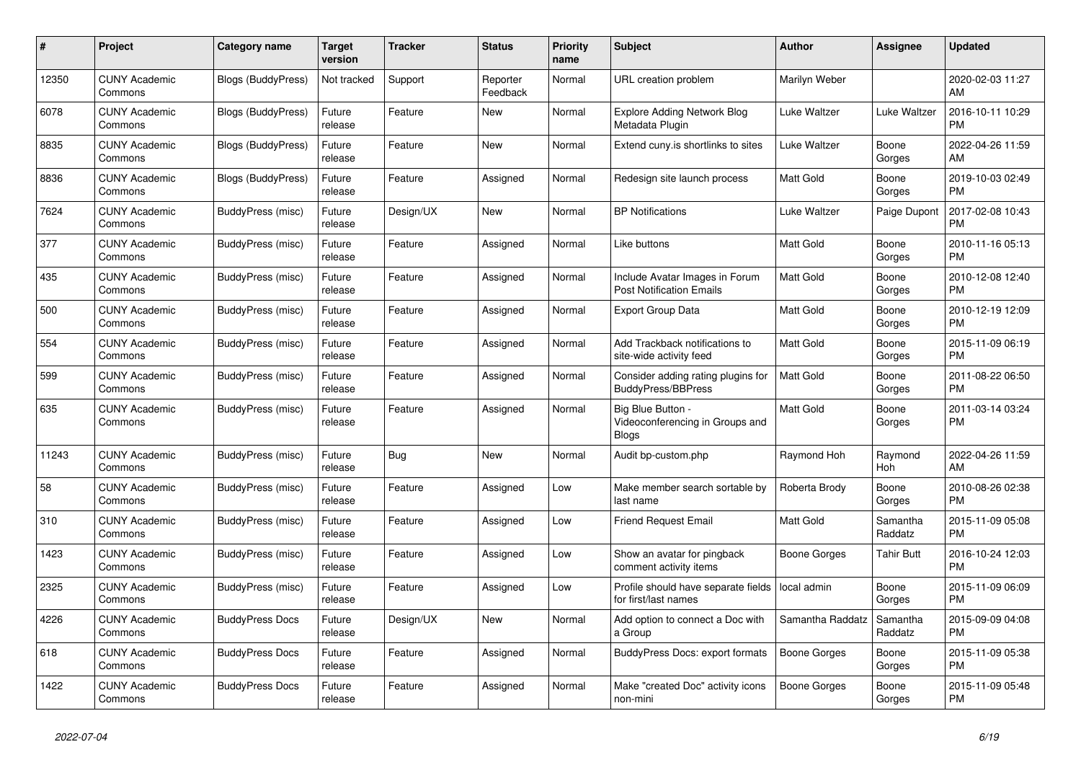| #     | Project                         | <b>Category name</b>      | Target<br>version | <b>Tracker</b> | <b>Status</b>        | <b>Priority</b><br>name | <b>Subject</b>                                                       | <b>Author</b>       | Assignee            | <b>Updated</b>                |
|-------|---------------------------------|---------------------------|-------------------|----------------|----------------------|-------------------------|----------------------------------------------------------------------|---------------------|---------------------|-------------------------------|
| 12350 | <b>CUNY Academic</b><br>Commons | <b>Blogs (BuddyPress)</b> | Not tracked       | Support        | Reporter<br>Feedback | Normal                  | URL creation problem                                                 | Marilyn Weber       |                     | 2020-02-03 11:27<br>AM        |
| 6078  | <b>CUNY Academic</b><br>Commons | <b>Blogs (BuddyPress)</b> | Future<br>release | Feature        | <b>New</b>           | Normal                  | Explore Adding Network Blog<br>Metadata Plugin                       | Luke Waltzer        | Luke Waltzer        | 2016-10-11 10:29<br><b>PM</b> |
| 8835  | <b>CUNY Academic</b><br>Commons | Blogs (BuddyPress)        | Future<br>release | Feature        | <b>New</b>           | Normal                  | Extend cuny.is shortlinks to sites                                   | Luke Waltzer        | Boone<br>Gorges     | 2022-04-26 11:59<br>AM        |
| 8836  | <b>CUNY Academic</b><br>Commons | <b>Blogs (BuddyPress)</b> | Future<br>release | Feature        | Assigned             | Normal                  | Redesign site launch process                                         | Matt Gold           | Boone<br>Gorges     | 2019-10-03 02:49<br><b>PM</b> |
| 7624  | <b>CUNY Academic</b><br>Commons | BuddyPress (misc)         | Future<br>release | Design/UX      | New                  | Normal                  | <b>BP Notifications</b>                                              | Luke Waltzer        | Paige Dupont        | 2017-02-08 10:43<br><b>PM</b> |
| 377   | <b>CUNY Academic</b><br>Commons | BuddyPress (misc)         | Future<br>release | Feature        | Assigned             | Normal                  | Like buttons                                                         | Matt Gold           | Boone<br>Gorges     | 2010-11-16 05:13<br><b>PM</b> |
| 435   | <b>CUNY Academic</b><br>Commons | BuddyPress (misc)         | Future<br>release | Feature        | Assigned             | Normal                  | Include Avatar Images in Forum<br><b>Post Notification Emails</b>    | <b>Matt Gold</b>    | Boone<br>Gorges     | 2010-12-08 12:40<br><b>PM</b> |
| 500   | <b>CUNY Academic</b><br>Commons | BuddyPress (misc)         | Future<br>release | Feature        | Assigned             | Normal                  | <b>Export Group Data</b>                                             | <b>Matt Gold</b>    | Boone<br>Gorges     | 2010-12-19 12:09<br><b>PM</b> |
| 554   | <b>CUNY Academic</b><br>Commons | BuddyPress (misc)         | Future<br>release | Feature        | Assigned             | Normal                  | Add Trackback notifications to<br>site-wide activity feed            | Matt Gold           | Boone<br>Gorges     | 2015-11-09 06:19<br><b>PM</b> |
| 599   | <b>CUNY Academic</b><br>Commons | BuddyPress (misc)         | Future<br>release | Feature        | Assigned             | Normal                  | Consider adding rating plugins for<br><b>BuddyPress/BBPress</b>      | <b>Matt Gold</b>    | Boone<br>Gorges     | 2011-08-22 06:50<br><b>PM</b> |
| 635   | <b>CUNY Academic</b><br>Commons | BuddyPress (misc)         | Future<br>release | Feature        | Assigned             | Normal                  | Big Blue Button -<br>Videoconferencing in Groups and<br><b>Blogs</b> | Matt Gold           | Boone<br>Gorges     | 2011-03-14 03:24<br>PM        |
| 11243 | <b>CUNY Academic</b><br>Commons | BuddyPress (misc)         | Future<br>release | <b>Bug</b>     | <b>New</b>           | Normal                  | Audit bp-custom.php                                                  | Raymond Hoh         | Raymond<br>Hoh      | 2022-04-26 11:59<br>AM        |
| 58    | <b>CUNY Academic</b><br>Commons | BuddyPress (misc)         | Future<br>release | Feature        | Assigned             | Low                     | Make member search sortable by<br>last name                          | Roberta Brody       | Boone<br>Gorges     | 2010-08-26 02:38<br><b>PM</b> |
| 310   | <b>CUNY Academic</b><br>Commons | BuddyPress (misc)         | Future<br>release | Feature        | Assigned             | Low                     | <b>Friend Request Email</b>                                          | Matt Gold           | Samantha<br>Raddatz | 2015-11-09 05:08<br><b>PM</b> |
| 1423  | <b>CUNY Academic</b><br>Commons | BuddyPress (misc)         | Future<br>release | Feature        | Assigned             | Low                     | Show an avatar for pingback<br>comment activity items                | Boone Gorges        | <b>Tahir Butt</b>   | 2016-10-24 12:03<br><b>PM</b> |
| 2325  | <b>CUNY Academic</b><br>Commons | BuddyPress (misc)         | Future<br>release | Feature        | Assigned             | Low                     | Profile should have separate fields<br>for first/last names          | local admin         | Boone<br>Gorges     | 2015-11-09 06:09<br><b>PM</b> |
| 4226  | <b>CUNY Academic</b><br>Commons | <b>BuddyPress Docs</b>    | Future<br>release | Design/UX      | New                  | Normal                  | Add option to connect a Doc with<br>a Group                          | Samantha Raddatz    | Samantha<br>Raddatz | 2015-09-09 04:08<br><b>PM</b> |
| 618   | <b>CUNY Academic</b><br>Commons | <b>BuddyPress Docs</b>    | Future<br>release | Feature        | Assigned             | Normal                  | <b>BuddyPress Docs: export formats</b>                               | <b>Boone Gorges</b> | Boone<br>Gorges     | 2015-11-09 05:38<br><b>PM</b> |
| 1422  | <b>CUNY Academic</b><br>Commons | <b>BuddyPress Docs</b>    | Future<br>release | Feature        | Assigned             | Normal                  | Make "created Doc" activity icons<br>non-mini                        | Boone Gorges        | Boone<br>Gorges     | 2015-11-09 05:48<br><b>PM</b> |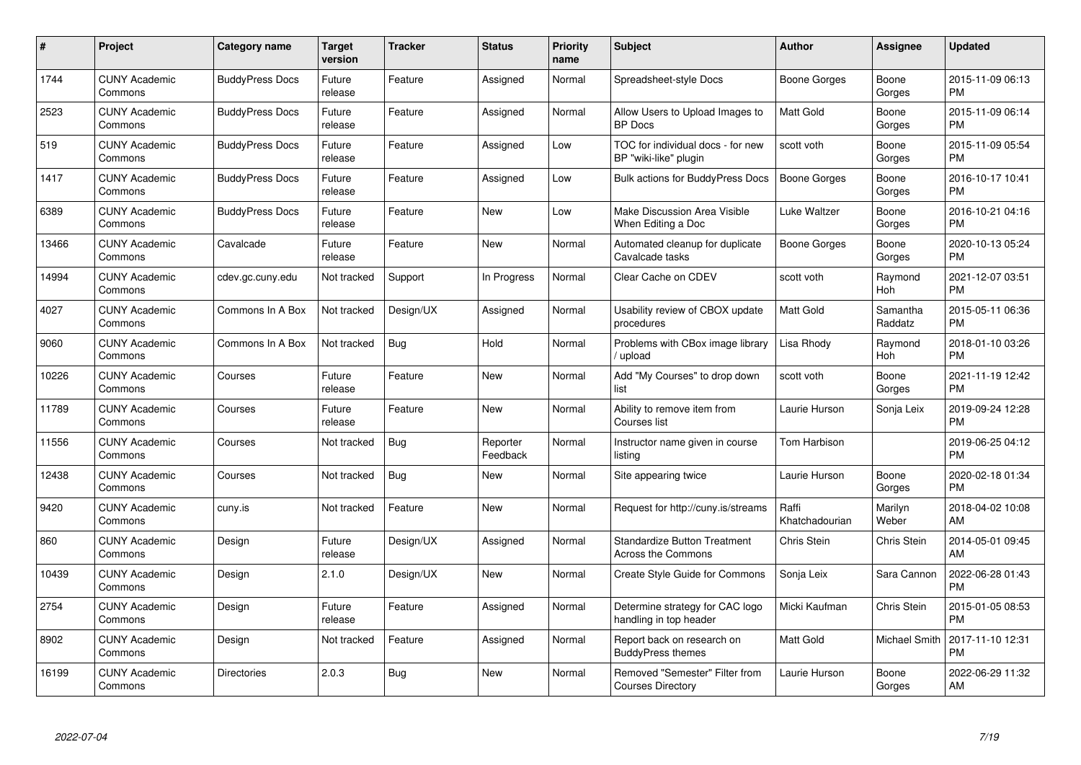| #     | Project                         | <b>Category name</b>   | Target<br>version | <b>Tracker</b> | <b>Status</b>        | <b>Priority</b><br>name | <b>Subject</b>                                                   | <b>Author</b>           | Assignee              | <b>Updated</b>                |
|-------|---------------------------------|------------------------|-------------------|----------------|----------------------|-------------------------|------------------------------------------------------------------|-------------------------|-----------------------|-------------------------------|
| 1744  | <b>CUNY Academic</b><br>Commons | <b>BuddyPress Docs</b> | Future<br>release | Feature        | Assigned             | Normal                  | Spreadsheet-style Docs                                           | Boone Gorges            | Boone<br>Gorges       | 2015-11-09 06:13<br><b>PM</b> |
| 2523  | <b>CUNY Academic</b><br>Commons | <b>BuddyPress Docs</b> | Future<br>release | Feature        | Assigned             | Normal                  | Allow Users to Upload Images to<br><b>BP</b> Docs                | Matt Gold               | Boone<br>Gorges       | 2015-11-09 06:14<br><b>PM</b> |
| 519   | <b>CUNY Academic</b><br>Commons | <b>BuddyPress Docs</b> | Future<br>release | Feature        | Assigned             | Low                     | TOC for individual docs - for new<br>BP "wiki-like" plugin       | scott voth              | Boone<br>Gorges       | 2015-11-09 05:54<br><b>PM</b> |
| 1417  | <b>CUNY Academic</b><br>Commons | <b>BuddyPress Docs</b> | Future<br>release | Feature        | Assigned             | Low                     | <b>Bulk actions for BuddyPress Docs</b>                          | Boone Gorges            | Boone<br>Gorges       | 2016-10-17 10:41<br><b>PM</b> |
| 6389  | <b>CUNY Academic</b><br>Commons | <b>BuddyPress Docs</b> | Future<br>release | Feature        | <b>New</b>           | Low                     | Make Discussion Area Visible<br>When Editing a Doc               | Luke Waltzer            | Boone<br>Gorges       | 2016-10-21 04:16<br><b>PM</b> |
| 13466 | <b>CUNY Academic</b><br>Commons | Cavalcade              | Future<br>release | Feature        | <b>New</b>           | Normal                  | Automated cleanup for duplicate<br>Cavalcade tasks               | <b>Boone Gorges</b>     | Boone<br>Gorges       | 2020-10-13 05:24<br><b>PM</b> |
| 14994 | <b>CUNY Academic</b><br>Commons | cdev.gc.cuny.edu       | Not tracked       | Support        | In Progress          | Normal                  | Clear Cache on CDEV                                              | scott voth              | Raymond<br>Hoh        | 2021-12-07 03:51<br><b>PM</b> |
| 4027  | <b>CUNY Academic</b><br>Commons | Commons In A Box       | Not tracked       | Design/UX      | Assigned             | Normal                  | Usability review of CBOX update<br>procedures                    | Matt Gold               | Samantha<br>Raddatz   | 2015-05-11 06:36<br><b>PM</b> |
| 9060  | <b>CUNY Academic</b><br>Commons | Commons In A Box       | Not tracked       | Bug            | Hold                 | Normal                  | Problems with CBox image library<br>/ upload                     | Lisa Rhody              | Raymond<br><b>Hoh</b> | 2018-01-10 03:26<br><b>PM</b> |
| 10226 | <b>CUNY Academic</b><br>Commons | Courses                | Future<br>release | Feature        | <b>New</b>           | Normal                  | Add "My Courses" to drop down<br>list                            | scott voth              | Boone<br>Gorges       | 2021-11-19 12:42<br><b>PM</b> |
| 11789 | <b>CUNY Academic</b><br>Commons | Courses                | Future<br>release | Feature        | <b>New</b>           | Normal                  | Ability to remove item from<br>Courses list                      | Laurie Hurson           | Sonja Leix            | 2019-09-24 12:28<br><b>PM</b> |
| 11556 | <b>CUNY Academic</b><br>Commons | Courses                | Not tracked       | <b>Bug</b>     | Reporter<br>Feedback | Normal                  | Instructor name given in course<br>listing                       | Tom Harbison            |                       | 2019-06-25 04:12<br><b>PM</b> |
| 12438 | <b>CUNY Academic</b><br>Commons | Courses                | Not tracked       | <b>Bug</b>     | <b>New</b>           | Normal                  | Site appearing twice                                             | Laurie Hurson           | Boone<br>Gorges       | 2020-02-18 01:34<br><b>PM</b> |
| 9420  | <b>CUNY Academic</b><br>Commons | cuny.is                | Not tracked       | Feature        | <b>New</b>           | Normal                  | Request for http://cuny.is/streams                               | Raffi<br>Khatchadourian | Marilyn<br>Weber      | 2018-04-02 10:08<br>AM        |
| 860   | <b>CUNY Academic</b><br>Commons | Design                 | Future<br>release | Design/UX      | Assigned             | Normal                  | <b>Standardize Button Treatment</b><br><b>Across the Commons</b> | Chris Stein             | Chris Stein           | 2014-05-01 09:45<br>AM        |
| 10439 | <b>CUNY Academic</b><br>Commons | Design                 | 2.1.0             | Design/UX      | New                  | Normal                  | Create Style Guide for Commons                                   | Sonja Leix              | Sara Cannon           | 2022-06-28 01:43<br><b>PM</b> |
| 2754  | <b>CUNY Academic</b><br>Commons | Design                 | Future<br>release | Feature        | Assigned             | Normal                  | Determine strategy for CAC logo<br>handling in top header        | Micki Kaufman           | Chris Stein           | 2015-01-05 08:53<br><b>PM</b> |
| 8902  | <b>CUNY Academic</b><br>Commons | Design                 | Not tracked       | Feature        | Assigned             | Normal                  | Report back on research on<br><b>BuddyPress themes</b>           | Matt Gold               | Michael Smith         | 2017-11-10 12:31<br><b>PM</b> |
| 16199 | <b>CUNY Academic</b><br>Commons | <b>Directories</b>     | 2.0.3             | <b>Bug</b>     | New                  | Normal                  | Removed "Semester" Filter from<br><b>Courses Directory</b>       | Laurie Hurson           | Boone<br>Gorges       | 2022-06-29 11:32<br>AM        |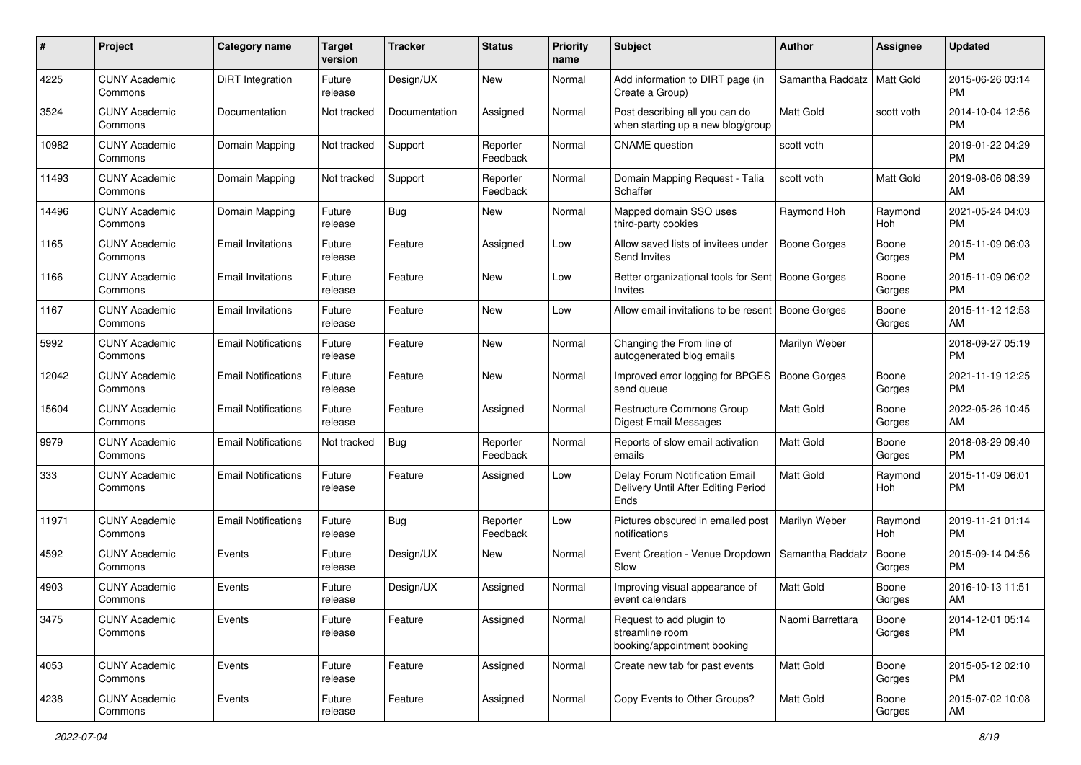| #     | Project                         | <b>Category name</b>       | <b>Target</b><br>version | <b>Tracker</b> | <b>Status</b>        | Priority<br>name | <b>Subject</b>                                                                | Author              | <b>Assignee</b>  | <b>Updated</b>                |
|-------|---------------------------------|----------------------------|--------------------------|----------------|----------------------|------------------|-------------------------------------------------------------------------------|---------------------|------------------|-------------------------------|
| 4225  | <b>CUNY Academic</b><br>Commons | DiRT Integration           | Future<br>release        | Design/UX      | New                  | Normal           | Add information to DIRT page (in<br>Create a Group)                           | Samantha Raddatz    | <b>Matt Gold</b> | 2015-06-26 03:14<br><b>PM</b> |
| 3524  | <b>CUNY Academic</b><br>Commons | Documentation              | Not tracked              | Documentation  | Assigned             | Normal           | Post describing all you can do<br>when starting up a new blog/group           | <b>Matt Gold</b>    | scott voth       | 2014-10-04 12:56<br><b>PM</b> |
| 10982 | <b>CUNY Academic</b><br>Commons | Domain Mapping             | Not tracked              | Support        | Reporter<br>Feedback | Normal           | <b>CNAME</b> question                                                         | scott voth          |                  | 2019-01-22 04:29<br><b>PM</b> |
| 11493 | <b>CUNY Academic</b><br>Commons | Domain Mapping             | Not tracked              | Support        | Reporter<br>Feedback | Normal           | Domain Mapping Request - Talia<br>Schaffer                                    | scott voth          | Matt Gold        | 2019-08-06 08:39<br>AM        |
| 14496 | <b>CUNY Academic</b><br>Commons | Domain Mapping             | Future<br>release        | Bug            | New                  | Normal           | Mapped domain SSO uses<br>third-party cookies                                 | Raymond Hoh         | Raymond<br>Hoh   | 2021-05-24 04:03<br><b>PM</b> |
| 1165  | <b>CUNY Academic</b><br>Commons | <b>Email Invitations</b>   | Future<br>release        | Feature        | Assigned             | Low              | Allow saved lists of invitees under<br>Send Invites                           | <b>Boone Gorges</b> | Boone<br>Gorges  | 2015-11-09 06:03<br><b>PM</b> |
| 1166  | <b>CUNY Academic</b><br>Commons | <b>Email Invitations</b>   | Future<br>release        | Feature        | New                  | Low              | Better organizational tools for Sent<br>Invites                               | Boone Gorges        | Boone<br>Gorges  | 2015-11-09 06:02<br><b>PM</b> |
| 1167  | <b>CUNY Academic</b><br>Commons | <b>Email Invitations</b>   | Future<br>release        | Feature        | New                  | Low              | Allow email invitations to be resent                                          | Boone Gorges        | Boone<br>Gorges  | 2015-11-12 12:53<br>AM.       |
| 5992  | <b>CUNY Academic</b><br>Commons | <b>Email Notifications</b> | Future<br>release        | Feature        | New                  | Normal           | Changing the From line of<br>autogenerated blog emails                        | Marilyn Weber       |                  | 2018-09-27 05:19<br><b>PM</b> |
| 12042 | <b>CUNY Academic</b><br>Commons | <b>Email Notifications</b> | Future<br>release        | Feature        | <b>New</b>           | Normal           | Improved error logging for BPGES<br>send queue                                | Boone Gorges        | Boone<br>Gorges  | 2021-11-19 12:25<br>PM.       |
| 15604 | <b>CUNY Academic</b><br>Commons | <b>Email Notifications</b> | Future<br>release        | Feature        | Assigned             | Normal           | Restructure Commons Group<br>Digest Email Messages                            | <b>Matt Gold</b>    | Boone<br>Gorges  | 2022-05-26 10:45<br>AM.       |
| 9979  | <b>CUNY Academic</b><br>Commons | <b>Email Notifications</b> | Not tracked              | Bug            | Reporter<br>Feedback | Normal           | Reports of slow email activation<br>emails                                    | <b>Matt Gold</b>    | Boone<br>Gorges  | 2018-08-29 09:40<br><b>PM</b> |
| 333   | <b>CUNY Academic</b><br>Commons | <b>Email Notifications</b> | Future<br>release        | Feature        | Assigned             | Low              | Delay Forum Notification Email<br>Delivery Until After Editing Period<br>Ends | <b>Matt Gold</b>    | Raymond<br>Hoh   | 2015-11-09 06:01<br><b>PM</b> |
| 11971 | <b>CUNY Academic</b><br>Commons | <b>Email Notifications</b> | Future<br>release        | Bug            | Reporter<br>Feedback | Low              | Pictures obscured in emailed post<br>notifications                            | Marilyn Weber       | Raymond<br>Hoh   | 2019-11-21 01:14<br><b>PM</b> |
| 4592  | <b>CUNY Academic</b><br>Commons | Events                     | Future<br>release        | Design/UX      | New                  | Normal           | Event Creation - Venue Dropdown<br>Slow                                       | Samantha Raddatz    | Boone<br>Gorges  | 2015-09-14 04:56<br><b>PM</b> |
| 4903  | <b>CUNY Academic</b><br>Commons | Events                     | Future<br>release        | Design/UX      | Assigned             | Normal           | Improving visual appearance of<br>event calendars                             | Matt Gold           | Boone<br>Gorges  | 2016-10-13 11:51<br>AM        |
| 3475  | <b>CUNY Academic</b><br>Commons | Events                     | Future<br>release        | Feature        | Assigned             | Normal           | Request to add plugin to<br>streamline room<br>booking/appointment booking    | Naomi Barrettara    | Boone<br>Gorges  | 2014-12-01 05:14<br><b>PM</b> |
| 4053  | <b>CUNY Academic</b><br>Commons | Events                     | Future<br>release        | Feature        | Assigned             | Normal           | Create new tab for past events                                                | Matt Gold           | Boone<br>Gorges  | 2015-05-12 02:10<br><b>PM</b> |
| 4238  | <b>CUNY Academic</b><br>Commons | Events                     | Future<br>release        | Feature        | Assigned             | Normal           | Copy Events to Other Groups?                                                  | Matt Gold           | Boone<br>Gorges  | 2015-07-02 10:08<br>AM        |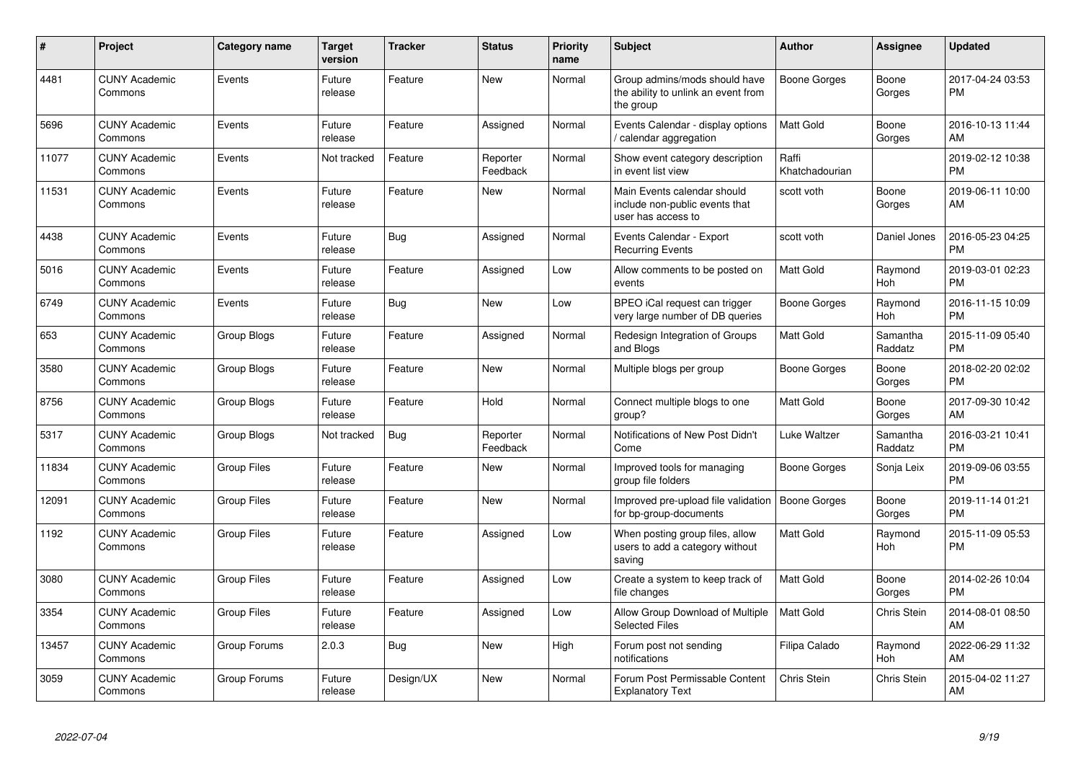| #     | Project                         | <b>Category name</b> | <b>Target</b><br>version | <b>Tracker</b> | <b>Status</b>        | <b>Priority</b><br>name | <b>Subject</b>                                                                      | <b>Author</b>           | <b>Assignee</b>       | <b>Updated</b>                |
|-------|---------------------------------|----------------------|--------------------------|----------------|----------------------|-------------------------|-------------------------------------------------------------------------------------|-------------------------|-----------------------|-------------------------------|
| 4481  | <b>CUNY Academic</b><br>Commons | Events               | Future<br>release        | Feature        | <b>New</b>           | Normal                  | Group admins/mods should have<br>the ability to unlink an event from<br>the group   | Boone Gorges            | Boone<br>Gorges       | 2017-04-24 03:53<br><b>PM</b> |
| 5696  | <b>CUNY Academic</b><br>Commons | Events               | Future<br>release        | Feature        | Assigned             | Normal                  | Events Calendar - display options<br>/ calendar aggregation                         | Matt Gold               | Boone<br>Gorges       | 2016-10-13 11:44<br>AM        |
| 11077 | <b>CUNY Academic</b><br>Commons | Events               | Not tracked              | Feature        | Reporter<br>Feedback | Normal                  | Show event category description<br>in event list view                               | Raffi<br>Khatchadourian |                       | 2019-02-12 10:38<br><b>PM</b> |
| 11531 | <b>CUNY Academic</b><br>Commons | Events               | Future<br>release        | Feature        | <b>New</b>           | Normal                  | Main Events calendar should<br>include non-public events that<br>user has access to | scott voth              | Boone<br>Gorges       | 2019-06-11 10:00<br>AM        |
| 4438  | <b>CUNY Academic</b><br>Commons | Events               | Future<br>release        | Bug            | Assigned             | Normal                  | Events Calendar - Export<br><b>Recurring Events</b>                                 | scott voth              | Daniel Jones          | 2016-05-23 04:25<br>PM        |
| 5016  | <b>CUNY Academic</b><br>Commons | Events               | Future<br>release        | Feature        | Assigned             | Low                     | Allow comments to be posted on<br>events                                            | <b>Matt Gold</b>        | Raymond<br>Hoh        | 2019-03-01 02:23<br><b>PM</b> |
| 6749  | <b>CUNY Academic</b><br>Commons | Events               | Future<br>release        | Bug            | <b>New</b>           | Low                     | BPEO iCal request can trigger<br>very large number of DB queries                    | <b>Boone Gorges</b>     | Raymond<br>Hoh        | 2016-11-15 10:09<br><b>PM</b> |
| 653   | <b>CUNY Academic</b><br>Commons | Group Blogs          | Future<br>release        | Feature        | Assigned             | Normal                  | Redesign Integration of Groups<br>and Blogs                                         | Matt Gold               | Samantha<br>Raddatz   | 2015-11-09 05:40<br>PM        |
| 3580  | <b>CUNY Academic</b><br>Commons | Group Blogs          | Future<br>release        | Feature        | New                  | Normal                  | Multiple blogs per group                                                            | Boone Gorges            | Boone<br>Gorges       | 2018-02-20 02:02<br>PM        |
| 8756  | <b>CUNY Academic</b><br>Commons | Group Blogs          | Future<br>release        | Feature        | Hold                 | Normal                  | Connect multiple blogs to one<br>group?                                             | Matt Gold               | Boone<br>Gorges       | 2017-09-30 10:42<br>AM        |
| 5317  | <b>CUNY Academic</b><br>Commons | Group Blogs          | Not tracked              | Bug            | Reporter<br>Feedback | Normal                  | Notifications of New Post Didn't<br>Come                                            | Luke Waltzer            | Samantha<br>Raddatz   | 2016-03-21 10:41<br><b>PM</b> |
| 11834 | <b>CUNY Academic</b><br>Commons | <b>Group Files</b>   | Future<br>release        | Feature        | <b>New</b>           | Normal                  | Improved tools for managing<br>group file folders                                   | Boone Gorges            | Sonja Leix            | 2019-09-06 03:55<br><b>PM</b> |
| 12091 | <b>CUNY Academic</b><br>Commons | <b>Group Files</b>   | Future<br>release        | Feature        | <b>New</b>           | Normal                  | Improved pre-upload file validation<br>for bp-group-documents                       | <b>Boone Gorges</b>     | Boone<br>Gorges       | 2019-11-14 01:21<br><b>PM</b> |
| 1192  | <b>CUNY Academic</b><br>Commons | <b>Group Files</b>   | Future<br>release        | Feature        | Assigned             | Low                     | When posting group files, allow<br>users to add a category without<br>saving        | Matt Gold               | Raymond<br>Hoh        | 2015-11-09 05:53<br><b>PM</b> |
| 3080  | <b>CUNY Academic</b><br>Commons | <b>Group Files</b>   | Future<br>release        | Feature        | Assigned             | Low                     | Create a system to keep track of<br>file changes                                    | Matt Gold               | Boone<br>Gorges       | 2014-02-26 10:04<br><b>PM</b> |
| 3354  | <b>CUNY Academic</b><br>Commons | <b>Group Files</b>   | Future<br>release        | Feature        | Assigned             | Low                     | Allow Group Download of Multiple<br><b>Selected Files</b>                           | <b>Matt Gold</b>        | Chris Stein           | 2014-08-01 08:50<br>AM        |
| 13457 | <b>CUNY Academic</b><br>Commons | Group Forums         | 2.0.3                    | Bug            | <b>New</b>           | High                    | Forum post not sending<br>notifications                                             | Filipa Calado           | Raymond<br><b>Hoh</b> | 2022-06-29 11:32<br>AM        |
| 3059  | <b>CUNY Academic</b><br>Commons | Group Forums         | Future<br>release        | Design/UX      | <b>New</b>           | Normal                  | Forum Post Permissable Content<br><b>Explanatory Text</b>                           | Chris Stein             | Chris Stein           | 2015-04-02 11:27<br>AM        |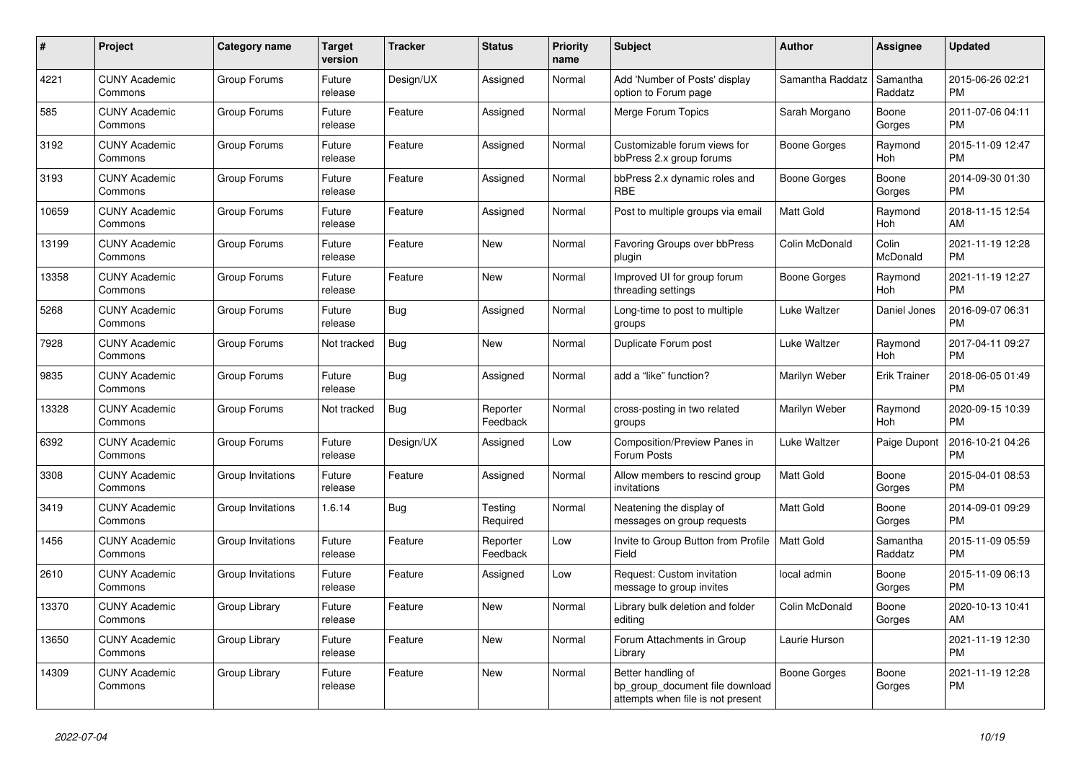| #     | <b>Project</b>                  | Category name     | <b>Target</b><br>version | <b>Tracker</b> | <b>Status</b>        | <b>Priority</b><br>name | <b>Subject</b>                                                                             | <b>Author</b>    | Assignee            | <b>Updated</b>                |
|-------|---------------------------------|-------------------|--------------------------|----------------|----------------------|-------------------------|--------------------------------------------------------------------------------------------|------------------|---------------------|-------------------------------|
| 4221  | <b>CUNY Academic</b><br>Commons | Group Forums      | Future<br>release        | Design/UX      | Assigned             | Normal                  | Add 'Number of Posts' display<br>option to Forum page                                      | Samantha Raddatz | Samantha<br>Raddatz | 2015-06-26 02:21<br><b>PM</b> |
| 585   | <b>CUNY Academic</b><br>Commons | Group Forums      | Future<br>release        | Feature        | Assigned             | Normal                  | Merge Forum Topics                                                                         | Sarah Morgano    | Boone<br>Gorges     | 2011-07-06 04:11<br><b>PM</b> |
| 3192  | <b>CUNY Academic</b><br>Commons | Group Forums      | Future<br>release        | Feature        | Assigned             | Normal                  | Customizable forum views for<br>bbPress 2.x group forums                                   | Boone Gorges     | Raymond<br>Hoh      | 2015-11-09 12:47<br><b>PM</b> |
| 3193  | <b>CUNY Academic</b><br>Commons | Group Forums      | Future<br>release        | Feature        | Assigned             | Normal                  | bbPress 2.x dynamic roles and<br><b>RBE</b>                                                | Boone Gorges     | Boone<br>Gorges     | 2014-09-30 01:30<br><b>PM</b> |
| 10659 | <b>CUNY Academic</b><br>Commons | Group Forums      | Future<br>release        | Feature        | Assigned             | Normal                  | Post to multiple groups via email                                                          | Matt Gold        | Raymond<br>Hoh      | 2018-11-15 12:54<br>AM        |
| 13199 | <b>CUNY Academic</b><br>Commons | Group Forums      | Future<br>release        | Feature        | New                  | Normal                  | Favoring Groups over bbPress<br>plugin                                                     | Colin McDonald   | Colin<br>McDonald   | 2021-11-19 12:28<br><b>PM</b> |
| 13358 | <b>CUNY Academic</b><br>Commons | Group Forums      | Future<br>release        | Feature        | New                  | Normal                  | Improved UI for group forum<br>threading settings                                          | Boone Gorges     | Raymond<br>Hoh      | 2021-11-19 12:27<br><b>PM</b> |
| 5268  | <b>CUNY Academic</b><br>Commons | Group Forums      | Future<br>release        | Bug            | Assigned             | Normal                  | Long-time to post to multiple<br>groups                                                    | Luke Waltzer     | Daniel Jones        | 2016-09-07 06:31<br><b>PM</b> |
| 7928  | <b>CUNY Academic</b><br>Commons | Group Forums      | Not tracked              | <b>Bug</b>     | New                  | Normal                  | Duplicate Forum post                                                                       | Luke Waltzer     | Raymond<br>Hoh      | 2017-04-11 09:27<br><b>PM</b> |
| 9835  | <b>CUNY Academic</b><br>Commons | Group Forums      | Future<br>release        | Bug            | Assigned             | Normal                  | add a "like" function?                                                                     | Marilyn Weber    | <b>Erik Trainer</b> | 2018-06-05 01:49<br><b>PM</b> |
| 13328 | <b>CUNY Academic</b><br>Commons | Group Forums      | Not tracked              | Bug            | Reporter<br>Feedback | Normal                  | cross-posting in two related<br>groups                                                     | Marilyn Weber    | Raymond<br>Hoh      | 2020-09-15 10:39<br><b>PM</b> |
| 6392  | <b>CUNY Academic</b><br>Commons | Group Forums      | Future<br>release        | Design/UX      | Assigned             | Low                     | Composition/Preview Panes in<br>Forum Posts                                                | Luke Waltzer     | Paige Dupont        | 2016-10-21 04:26<br><b>PM</b> |
| 3308  | <b>CUNY Academic</b><br>Commons | Group Invitations | Future<br>release        | Feature        | Assigned             | Normal                  | Allow members to rescind group<br>invitations                                              | <b>Matt Gold</b> | Boone<br>Gorges     | 2015-04-01 08:53<br><b>PM</b> |
| 3419  | <b>CUNY Academic</b><br>Commons | Group Invitations | 1.6.14                   | <b>Bug</b>     | Testing<br>Required  | Normal                  | Neatening the display of<br>messages on group requests                                     | <b>Matt Gold</b> | Boone<br>Gorges     | 2014-09-01 09:29<br><b>PM</b> |
| 1456  | <b>CUNY Academic</b><br>Commons | Group Invitations | Future<br>release        | Feature        | Reporter<br>Feedback | Low                     | Invite to Group Button from Profile<br>Field                                               | Matt Gold        | Samantha<br>Raddatz | 2015-11-09 05:59<br><b>PM</b> |
| 2610  | <b>CUNY Academic</b><br>Commons | Group Invitations | Future<br>release        | Feature        | Assigned             | Low                     | Request: Custom invitation<br>message to group invites                                     | local admin      | Boone<br>Gorges     | 2015-11-09 06:13<br><b>PM</b> |
| 13370 | <b>CUNY Academic</b><br>Commons | Group Library     | Future<br>release        | Feature        | <b>New</b>           | Normal                  | Library bulk deletion and folder<br>editing                                                | Colin McDonald   | Boone<br>Gorges     | 2020-10-13 10:41<br>AM        |
| 13650 | <b>CUNY Academic</b><br>Commons | Group Library     | Future<br>release        | Feature        | <b>New</b>           | Normal                  | Forum Attachments in Group<br>Library                                                      | Laurie Hurson    |                     | 2021-11-19 12:30<br><b>PM</b> |
| 14309 | <b>CUNY Academic</b><br>Commons | Group Library     | Future<br>release        | Feature        | New                  | Normal                  | Better handling of<br>bp_group_document file download<br>attempts when file is not present | Boone Gorges     | Boone<br>Gorges     | 2021-11-19 12:28<br><b>PM</b> |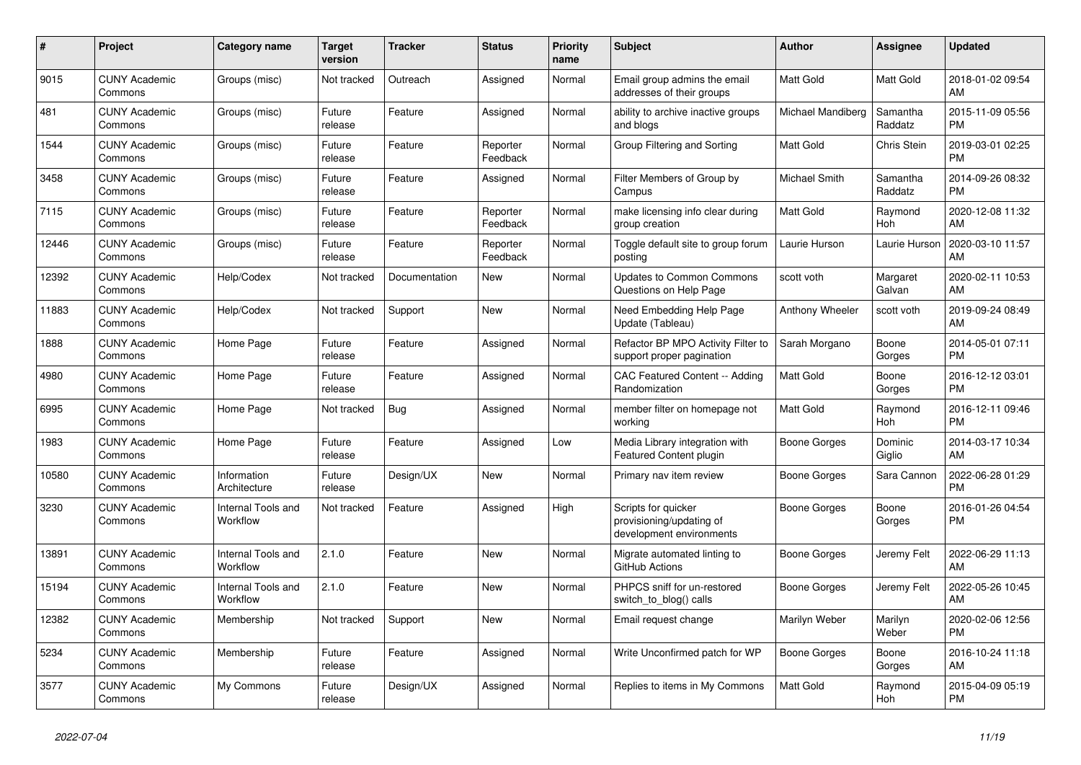| #     | Project                         | <b>Category name</b>           | <b>Target</b><br>version | <b>Tracker</b> | <b>Status</b>        | Priority<br>name | <b>Subject</b>                                                              | <b>Author</b>          | Assignee            | <b>Updated</b>                |
|-------|---------------------------------|--------------------------------|--------------------------|----------------|----------------------|------------------|-----------------------------------------------------------------------------|------------------------|---------------------|-------------------------------|
| 9015  | <b>CUNY Academic</b><br>Commons | Groups (misc)                  | Not tracked              | Outreach       | Assigned             | Normal           | Email group admins the email<br>addresses of their groups                   | <b>Matt Gold</b>       | Matt Gold           | 2018-01-02 09:54<br>AM        |
| 481   | <b>CUNY Academic</b><br>Commons | Groups (misc)                  | Future<br>release        | Feature        | Assigned             | Normal           | ability to archive inactive groups<br>and blogs                             | Michael Mandiberg      | Samantha<br>Raddatz | 2015-11-09 05:56<br><b>PM</b> |
| 1544  | <b>CUNY Academic</b><br>Commons | Groups (misc)                  | Future<br>release        | Feature        | Reporter<br>Feedback | Normal           | Group Filtering and Sorting                                                 | Matt Gold              | Chris Stein         | 2019-03-01 02:25<br><b>PM</b> |
| 3458  | <b>CUNY Academic</b><br>Commons | Groups (misc)                  | Future<br>release        | Feature        | Assigned             | Normal           | Filter Members of Group by<br>Campus                                        | Michael Smith          | Samantha<br>Raddatz | 2014-09-26 08:32<br><b>PM</b> |
| 7115  | <b>CUNY Academic</b><br>Commons | Groups (misc)                  | Future<br>release        | Feature        | Reporter<br>Feedback | Normal           | make licensing info clear during<br>group creation                          | Matt Gold              | Raymond<br>Hoh      | 2020-12-08 11:32<br>AM        |
| 12446 | <b>CUNY Academic</b><br>Commons | Groups (misc)                  | Future<br>release        | Feature        | Reporter<br>Feedback | Normal           | Toggle default site to group forum<br>posting                               | Laurie Hurson          | Laurie Hurson       | 2020-03-10 11:57<br>AM        |
| 12392 | <b>CUNY Academic</b><br>Commons | Help/Codex                     | Not tracked              | Documentation  | <b>New</b>           | Normal           | <b>Updates to Common Commons</b><br>Questions on Help Page                  | scott voth             | Margaret<br>Galvan  | 2020-02-11 10:53<br>AM        |
| 11883 | <b>CUNY Academic</b><br>Commons | Help/Codex                     | Not tracked              | Support        | <b>New</b>           | Normal           | Need Embedding Help Page<br>Update (Tableau)                                | <b>Anthony Wheeler</b> | scott voth          | 2019-09-24 08:49<br>AM        |
| 1888  | <b>CUNY Academic</b><br>Commons | Home Page                      | Future<br>release        | Feature        | Assigned             | Normal           | Refactor BP MPO Activity Filter to<br>support proper pagination             | Sarah Morgano          | Boone<br>Gorges     | 2014-05-01 07:11<br><b>PM</b> |
| 4980  | <b>CUNY Academic</b><br>Commons | Home Page                      | Future<br>release        | Feature        | Assigned             | Normal           | CAC Featured Content -- Adding<br>Randomization                             | Matt Gold              | Boone<br>Gorges     | 2016-12-12 03:01<br><b>PM</b> |
| 6995  | <b>CUNY Academic</b><br>Commons | Home Page                      | Not tracked              | Bug            | Assigned             | Normal           | member filter on homepage not<br>workina                                    | Matt Gold              | Raymond<br>Hoh      | 2016-12-11 09:46<br><b>PM</b> |
| 1983  | <b>CUNY Academic</b><br>Commons | Home Page                      | Future<br>release        | Feature        | Assigned             | Low              | Media Library integration with<br>Featured Content plugin                   | Boone Gorges           | Dominic<br>Giglio   | 2014-03-17 10:34<br>AM        |
| 10580 | <b>CUNY Academic</b><br>Commons | Information<br>Architecture    | Future<br>release        | Design/UX      | New                  | Normal           | Primary nav item review                                                     | Boone Gorges           | Sara Cannon         | 2022-06-28 01:29<br><b>PM</b> |
| 3230  | <b>CUNY Academic</b><br>Commons | Internal Tools and<br>Workflow | Not tracked              | Feature        | Assigned             | High             | Scripts for quicker<br>provisioning/updating of<br>development environments | Boone Gorges           | Boone<br>Gorges     | 2016-01-26 04:54<br><b>PM</b> |
| 13891 | <b>CUNY Academic</b><br>Commons | Internal Tools and<br>Workflow | 2.1.0                    | Feature        | New                  | Normal           | Migrate automated linting to<br>GitHub Actions                              | Boone Gorges           | Jeremy Felt         | 2022-06-29 11:13<br>AM        |
| 15194 | <b>CUNY Academic</b><br>Commons | Internal Tools and<br>Workflow | 2.1.0                    | Feature        | <b>New</b>           | Normal           | PHPCS sniff for un-restored<br>switch to blog() calls                       | Boone Gorges           | Jeremy Felt         | 2022-05-26 10:45<br>AM        |
| 12382 | <b>CUNY Academic</b><br>Commons | Membership                     | Not tracked              | Support        | <b>New</b>           | Normal           | Email request change                                                        | Marilyn Weber          | Marilyn<br>Weber    | 2020-02-06 12:56<br><b>PM</b> |
| 5234  | <b>CUNY Academic</b><br>Commons | Membership                     | Future<br>release        | Feature        | Assigned             | Normal           | Write Unconfirmed patch for WP                                              | Boone Gorges           | Boone<br>Gorges     | 2016-10-24 11:18<br>AM        |
| 3577  | <b>CUNY Academic</b><br>Commons | My Commons                     | Future<br>release        | Design/UX      | Assigned             | Normal           | Replies to items in My Commons                                              | <b>Matt Gold</b>       | Raymond<br>Hoh      | 2015-04-09 05:19<br><b>PM</b> |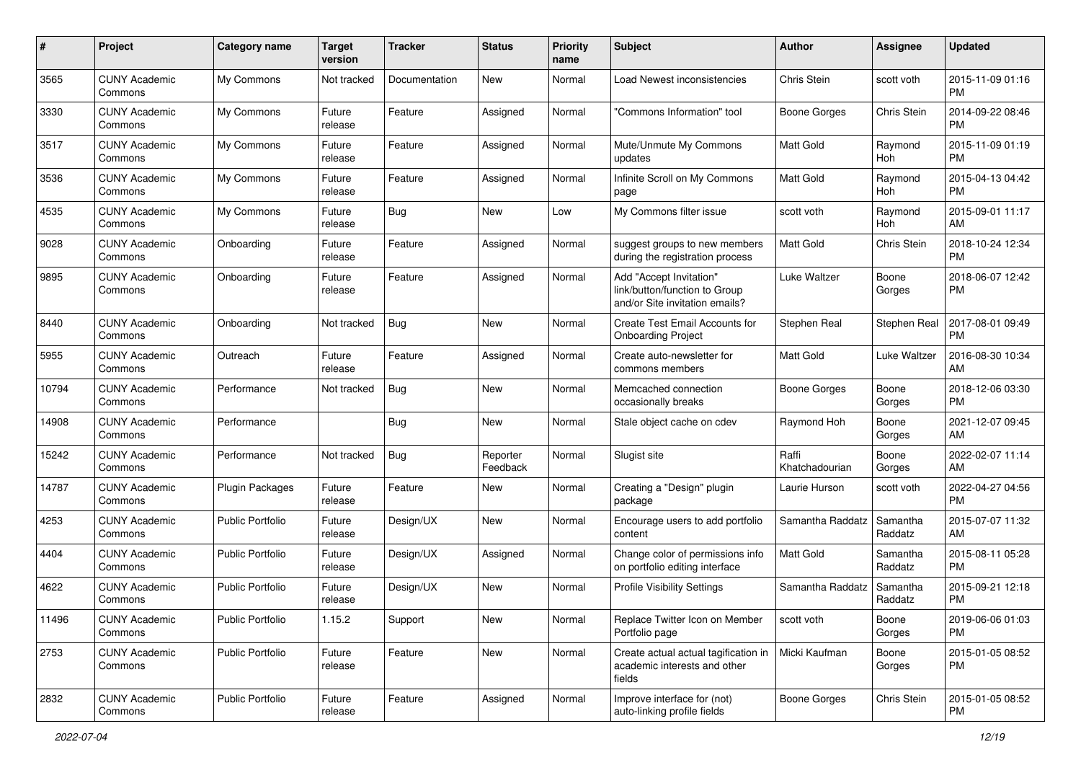| #     | Project                         | <b>Category name</b>    | <b>Target</b><br>version | <b>Tracker</b> | <b>Status</b>        | Priority<br>name | <b>Subject</b>                                                                             | Author                  | <b>Assignee</b>     | <b>Updated</b>                |
|-------|---------------------------------|-------------------------|--------------------------|----------------|----------------------|------------------|--------------------------------------------------------------------------------------------|-------------------------|---------------------|-------------------------------|
| 3565  | <b>CUNY Academic</b><br>Commons | My Commons              | Not tracked              | Documentation  | New                  | Normal           | Load Newest inconsistencies                                                                | Chris Stein             | scott voth          | 2015-11-09 01:16<br><b>PM</b> |
| 3330  | <b>CUNY Academic</b><br>Commons | My Commons              | Future<br>release        | Feature        | Assigned             | Normal           | "Commons Information" tool                                                                 | <b>Boone Gorges</b>     | Chris Stein         | 2014-09-22 08:46<br><b>PM</b> |
| 3517  | <b>CUNY Academic</b><br>Commons | My Commons              | Future<br>release        | Feature        | Assigned             | Normal           | Mute/Unmute My Commons<br>updates                                                          | <b>Matt Gold</b>        | Raymond<br>Hoh      | 2015-11-09 01:19<br><b>PM</b> |
| 3536  | <b>CUNY Academic</b><br>Commons | My Commons              | Future<br>release        | Feature        | Assigned             | Normal           | Infinite Scroll on My Commons<br>page                                                      | <b>Matt Gold</b>        | Raymond<br>Hoh      | 2015-04-13 04:42<br><b>PM</b> |
| 4535  | <b>CUNY Academic</b><br>Commons | My Commons              | Future<br>release        | Bug            | New                  | Low              | My Commons filter issue                                                                    | scott voth              | Raymond<br>Hoh      | 2015-09-01 11:17<br>AM        |
| 9028  | <b>CUNY Academic</b><br>Commons | Onboarding              | Future<br>release        | Feature        | Assigned             | Normal           | suggest groups to new members<br>during the registration process                           | Matt Gold               | Chris Stein         | 2018-10-24 12:34<br><b>PM</b> |
| 9895  | <b>CUNY Academic</b><br>Commons | Onboarding              | Future<br>release        | Feature        | Assigned             | Normal           | Add "Accept Invitation"<br>link/button/function to Group<br>and/or Site invitation emails? | Luke Waltzer            | Boone<br>Gorges     | 2018-06-07 12:42<br><b>PM</b> |
| 8440  | <b>CUNY Academic</b><br>Commons | Onboarding              | Not tracked              | <b>Bug</b>     | <b>New</b>           | Normal           | Create Test Email Accounts for<br><b>Onboarding Project</b>                                | Stephen Real            | Stephen Real        | 2017-08-01 09:49<br><b>PM</b> |
| 5955  | <b>CUNY Academic</b><br>Commons | Outreach                | Future<br>release        | Feature        | Assigned             | Normal           | Create auto-newsletter for<br>commons members                                              | Matt Gold               | Luke Waltzer        | 2016-08-30 10:34<br>AM        |
| 10794 | <b>CUNY Academic</b><br>Commons | Performance             | Not tracked              | Bug            | New                  | Normal           | Memcached connection<br>occasionally breaks                                                | Boone Gorges            | Boone<br>Gorges     | 2018-12-06 03:30<br><b>PM</b> |
| 14908 | <b>CUNY Academic</b><br>Commons | Performance             |                          | Bug            | New                  | Normal           | Stale object cache on cdev                                                                 | Raymond Hoh             | Boone<br>Gorges     | 2021-12-07 09:45<br>AM        |
| 15242 | CUNY Academic<br>Commons        | Performance             | Not tracked              | Bug            | Reporter<br>Feedback | Normal           | Slugist site                                                                               | Raffi<br>Khatchadourian | Boone<br>Gorges     | 2022-02-07 11:14<br>AM        |
| 14787 | <b>CUNY Academic</b><br>Commons | <b>Plugin Packages</b>  | Future<br>release        | Feature        | New                  | Normal           | Creating a "Design" plugin<br>package                                                      | Laurie Hurson           | scott voth          | 2022-04-27 04:56<br><b>PM</b> |
| 4253  | <b>CUNY Academic</b><br>Commons | <b>Public Portfolio</b> | Future<br>release        | Design/UX      | New                  | Normal           | Encourage users to add portfolio<br>content                                                | Samantha Raddatz        | Samantha<br>Raddatz | 2015-07-07 11:32<br>AM        |
| 4404  | <b>CUNY Academic</b><br>Commons | <b>Public Portfolio</b> | Future<br>release        | Design/UX      | Assigned             | Normal           | Change color of permissions info<br>on portfolio editing interface                         | Matt Gold               | Samantha<br>Raddatz | 2015-08-11 05:28<br><b>PM</b> |
| 4622  | <b>CUNY Academic</b><br>Commons | Public Portfolio        | Future<br>release        | Design/UX      | New                  | Normal           | <b>Profile Visibility Settings</b>                                                         | Samantha Raddatz        | Samantha<br>Raddatz | 2015-09-21 12:18<br><b>PM</b> |
| 11496 | <b>CUNY Academic</b><br>Commons | <b>Public Portfolio</b> | 1.15.2                   | Support        | New                  | Normal           | Replace Twitter Icon on Member<br>Portfolio page                                           | scott voth              | Boone<br>Gorges     | 2019-06-06 01:03<br><b>PM</b> |
| 2753  | <b>CUNY Academic</b><br>Commons | Public Portfolio        | Future<br>release        | Feature        | New                  | Normal           | Create actual actual tagification in<br>academic interests and other<br>fields             | Micki Kaufman           | Boone<br>Gorges     | 2015-01-05 08:52<br><b>PM</b> |
| 2832  | <b>CUNY Academic</b><br>Commons | Public Portfolio        | Future<br>release        | Feature        | Assigned             | Normal           | Improve interface for (not)<br>auto-linking profile fields                                 | Boone Gorges            | Chris Stein         | 2015-01-05 08:52<br><b>PM</b> |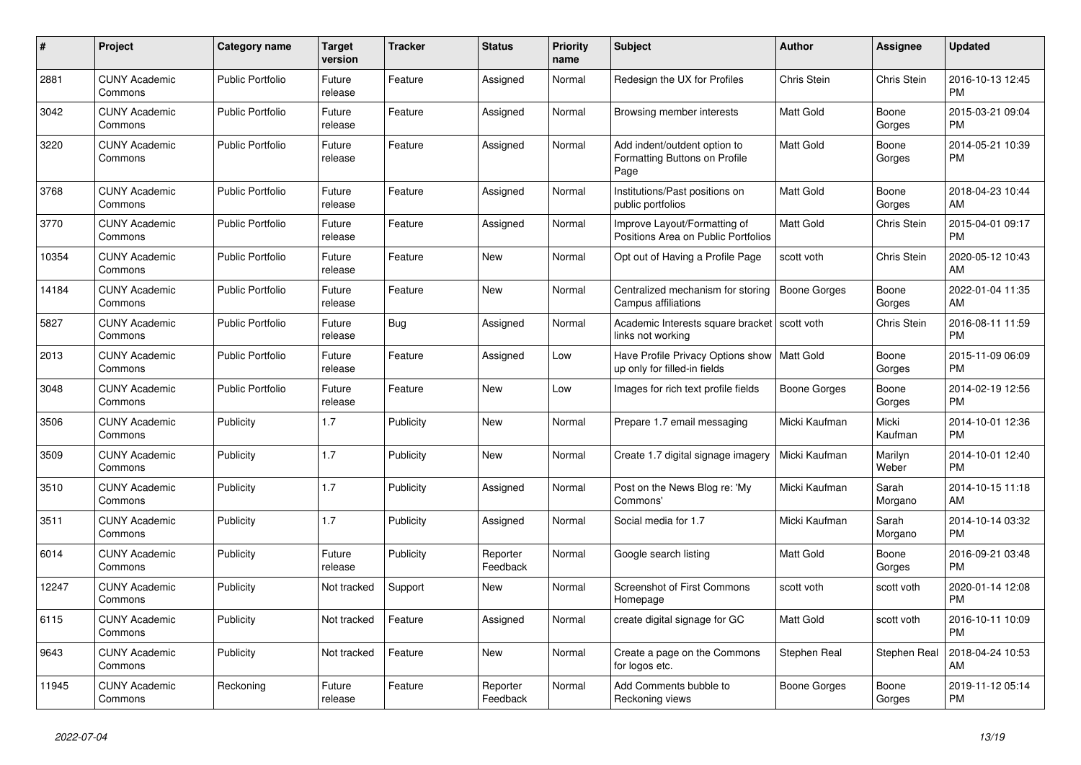| $\#$  | Project                         | <b>Category name</b>    | <b>Target</b><br>version | <b>Tracker</b> | <b>Status</b>        | Priority<br>name | <b>Subject</b>                                                                | <b>Author</b>    | <b>Assignee</b>  | <b>Updated</b>                |
|-------|---------------------------------|-------------------------|--------------------------|----------------|----------------------|------------------|-------------------------------------------------------------------------------|------------------|------------------|-------------------------------|
| 2881  | <b>CUNY Academic</b><br>Commons | <b>Public Portfolio</b> | Future<br>release        | Feature        | Assigned             | Normal           | Redesign the UX for Profiles                                                  | Chris Stein      | Chris Stein      | 2016-10-13 12:45<br><b>PM</b> |
| 3042  | <b>CUNY Academic</b><br>Commons | <b>Public Portfolio</b> | Future<br>release        | Feature        | Assigned             | Normal           | Browsing member interests                                                     | <b>Matt Gold</b> | Boone<br>Gorges  | 2015-03-21 09:04<br><b>PM</b> |
| 3220  | <b>CUNY Academic</b><br>Commons | <b>Public Portfolio</b> | Future<br>release        | Feature        | Assigned             | Normal           | Add indent/outdent option to<br>Formatting Buttons on Profile<br>Page         | <b>Matt Gold</b> | Boone<br>Gorges  | 2014-05-21 10:39<br><b>PM</b> |
| 3768  | <b>CUNY Academic</b><br>Commons | <b>Public Portfolio</b> | Future<br>release        | Feature        | Assigned             | Normal           | Institutions/Past positions on<br>public portfolios                           | Matt Gold        | Boone<br>Gorges  | 2018-04-23 10:44<br>AM        |
| 3770  | <b>CUNY Academic</b><br>Commons | <b>Public Portfolio</b> | Future<br>release        | Feature        | Assigned             | Normal           | Improve Layout/Formatting of<br>Positions Area on Public Portfolios           | <b>Matt Gold</b> | Chris Stein      | 2015-04-01 09:17<br><b>PM</b> |
| 10354 | <b>CUNY Academic</b><br>Commons | <b>Public Portfolio</b> | Future<br>release        | Feature        | <b>New</b>           | Normal           | Opt out of Having a Profile Page                                              | scott voth       | Chris Stein      | 2020-05-12 10:43<br>AM        |
| 14184 | <b>CUNY Academic</b><br>Commons | Public Portfolio        | Future<br>release        | Feature        | New                  | Normal           | Centralized mechanism for storing<br>Campus affiliations                      | Boone Gorges     | Boone<br>Gorges  | 2022-01-04 11:35<br>AM        |
| 5827  | <b>CUNY Academic</b><br>Commons | <b>Public Portfolio</b> | Future<br>release        | Bug            | Assigned             | Normal           | Academic Interests square bracket<br>links not working                        | scott voth       | Chris Stein      | 2016-08-11 11:59<br><b>PM</b> |
| 2013  | <b>CUNY Academic</b><br>Commons | <b>Public Portfolio</b> | Future<br>release        | Feature        | Assigned             | Low              | Have Profile Privacy Options show   Matt Gold<br>up only for filled-in fields |                  | Boone<br>Gorges  | 2015-11-09 06:09<br><b>PM</b> |
| 3048  | <b>CUNY Academic</b><br>Commons | Public Portfolio        | Future<br>release        | Feature        | New                  | Low              | Images for rich text profile fields                                           | Boone Gorges     | Boone<br>Gorges  | 2014-02-19 12:56<br><b>PM</b> |
| 3506  | <b>CUNY Academic</b><br>Commons | Publicity               | 1.7                      | Publicity      | New                  | Normal           | Prepare 1.7 email messaging                                                   | Micki Kaufman    | Micki<br>Kaufman | 2014-10-01 12:36<br><b>PM</b> |
| 3509  | <b>CUNY Academic</b><br>Commons | Publicity               | 1.7                      | Publicity      | <b>New</b>           | Normal           | Create 1.7 digital signage imagery                                            | Micki Kaufman    | Marilyn<br>Weber | 2014-10-01 12:40<br><b>PM</b> |
| 3510  | <b>CUNY Academic</b><br>Commons | Publicity               | 1.7                      | Publicity      | Assigned             | Normal           | Post on the News Blog re: 'My<br>Commons'                                     | Micki Kaufman    | Sarah<br>Morgano | 2014-10-15 11:18<br>AM        |
| 3511  | <b>CUNY Academic</b><br>Commons | Publicity               | 1.7                      | Publicity      | Assigned             | Normal           | Social media for 1.7                                                          | Micki Kaufman    | Sarah<br>Morgano | 2014-10-14 03:32<br><b>PM</b> |
| 6014  | <b>CUNY Academic</b><br>Commons | Publicity               | Future<br>release        | Publicity      | Reporter<br>Feedback | Normal           | Google search listing                                                         | <b>Matt Gold</b> | Boone<br>Gorges  | 2016-09-21 03:48<br><b>PM</b> |
| 12247 | <b>CUNY Academic</b><br>Commons | Publicity               | Not tracked              | Support        | New                  | Normal           | <b>Screenshot of First Commons</b><br>Homepage                                | scott voth       | scott voth       | 2020-01-14 12:08<br><b>PM</b> |
| 6115  | <b>CUNY Academic</b><br>Commons | Publicity               | Not tracked              | Feature        | Assigned             | Normal           | create digital signage for GC                                                 | Matt Gold        | scott voth       | 2016-10-11 10:09<br><b>PM</b> |
| 9643  | <b>CUNY Academic</b><br>Commons | Publicity               | Not tracked              | Feature        | <b>New</b>           | Normal           | Create a page on the Commons<br>for logos etc.                                | Stephen Real     | Stephen Real     | 2018-04-24 10:53<br>AM        |
| 11945 | <b>CUNY Academic</b><br>Commons | Reckoning               | Future<br>release        | Feature        | Reporter<br>Feedback | Normal           | Add Comments bubble to<br>Reckoning views                                     | Boone Gorges     | Boone<br>Gorges  | 2019-11-12 05:14<br><b>PM</b> |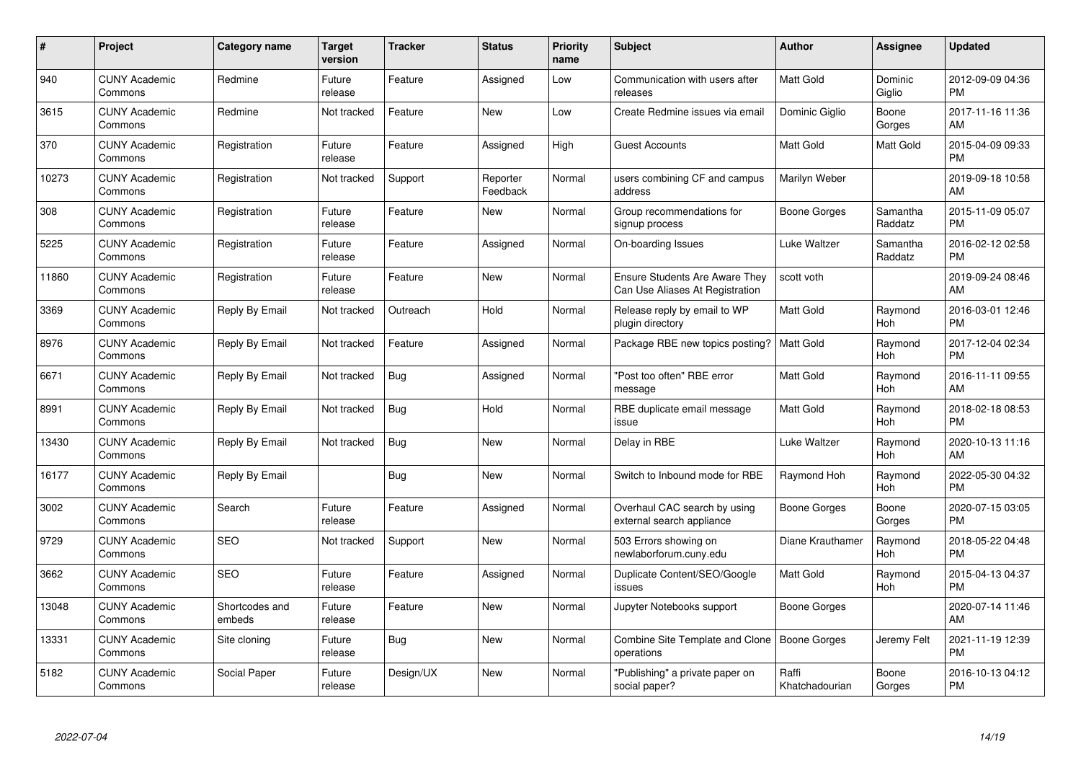| $\#$  | Project                         | <b>Category name</b>     | <b>Target</b><br>version | <b>Tracker</b> | <b>Status</b>        | Priority<br>name | <b>Subject</b>                                                           | <b>Author</b>           | <b>Assignee</b>     | <b>Updated</b>                |
|-------|---------------------------------|--------------------------|--------------------------|----------------|----------------------|------------------|--------------------------------------------------------------------------|-------------------------|---------------------|-------------------------------|
| 940   | <b>CUNY Academic</b><br>Commons | Redmine                  | Future<br>release        | Feature        | Assigned             | Low              | Communication with users after<br>releases                               | <b>Matt Gold</b>        | Dominic<br>Giglio   | 2012-09-09 04:36<br><b>PM</b> |
| 3615  | <b>CUNY Academic</b><br>Commons | Redmine                  | Not tracked              | Feature        | <b>New</b>           | Low              | Create Redmine issues via email                                          | Dominic Giglio          | Boone<br>Gorges     | 2017-11-16 11:36<br>AM        |
| 370   | <b>CUNY Academic</b><br>Commons | Registration             | Future<br>release        | Feature        | Assigned             | High             | <b>Guest Accounts</b>                                                    | Matt Gold               | Matt Gold           | 2015-04-09 09:33<br><b>PM</b> |
| 10273 | <b>CUNY Academic</b><br>Commons | Registration             | Not tracked              | Support        | Reporter<br>Feedback | Normal           | users combining CF and campus<br>address                                 | Marilyn Weber           |                     | 2019-09-18 10:58<br>AM        |
| 308   | <b>CUNY Academic</b><br>Commons | Registration             | Future<br>release        | Feature        | <b>New</b>           | Normal           | Group recommendations for<br>signup process                              | Boone Gorges            | Samantha<br>Raddatz | 2015-11-09 05:07<br><b>PM</b> |
| 5225  | <b>CUNY Academic</b><br>Commons | Registration             | Future<br>release        | Feature        | Assigned             | Normal           | On-boarding Issues                                                       | Luke Waltzer            | Samantha<br>Raddatz | 2016-02-12 02:58<br><b>PM</b> |
| 11860 | <b>CUNY Academic</b><br>Commons | Registration             | Future<br>release        | Feature        | <b>New</b>           | Normal           | <b>Ensure Students Are Aware They</b><br>Can Use Aliases At Registration | scott voth              |                     | 2019-09-24 08:46<br>AM        |
| 3369  | <b>CUNY Academic</b><br>Commons | Reply By Email           | Not tracked              | Outreach       | Hold                 | Normal           | Release reply by email to WP<br>plugin directory                         | <b>Matt Gold</b>        | Raymond<br>Hoh      | 2016-03-01 12:46<br><b>PM</b> |
| 8976  | <b>CUNY Academic</b><br>Commons | Reply By Email           | Not tracked              | Feature        | Assigned             | Normal           | Package RBE new topics posting?                                          | <b>Matt Gold</b>        | Raymond<br>Hoh      | 2017-12-04 02:34<br><b>PM</b> |
| 6671  | <b>CUNY Academic</b><br>Commons | Reply By Email           | Not tracked              | Bug            | Assigned             | Normal           | "Post too often" RBE error<br>message                                    | <b>Matt Gold</b>        | Raymond<br>Hoh      | 2016-11-11 09:55<br>AM        |
| 8991  | <b>CUNY Academic</b><br>Commons | Reply By Email           | Not tracked              | Bug            | Hold                 | Normal           | RBE duplicate email message<br>issue                                     | Matt Gold               | Raymond<br>Hoh      | 2018-02-18 08:53<br><b>PM</b> |
| 13430 | <b>CUNY Academic</b><br>Commons | Reply By Email           | Not tracked              | Bug            | New                  | Normal           | Delay in RBE                                                             | Luke Waltzer            | Raymond<br>Hoh      | 2020-10-13 11:16<br>AM        |
| 16177 | <b>CUNY Academic</b><br>Commons | Reply By Email           |                          | Bug            | New                  | Normal           | Switch to Inbound mode for RBE                                           | Raymond Hoh             | Raymond<br>Hoh      | 2022-05-30 04:32<br><b>PM</b> |
| 3002  | <b>CUNY Academic</b><br>Commons | Search                   | Future<br>release        | Feature        | Assigned             | Normal           | Overhaul CAC search by using<br>external search appliance                | <b>Boone Gorges</b>     | Boone<br>Gorges     | 2020-07-15 03:05<br><b>PM</b> |
| 9729  | <b>CUNY Academic</b><br>Commons | <b>SEO</b>               | Not tracked              | Support        | New                  | Normal           | 503 Errors showing on<br>newlaborforum.cuny.edu                          | Diane Krauthamer        | Raymond<br>Hoh      | 2018-05-22 04:48<br><b>PM</b> |
| 3662  | <b>CUNY Academic</b><br>Commons | <b>SEO</b>               | Future<br>release        | Feature        | Assigned             | Normal           | Duplicate Content/SEO/Google<br>issues                                   | Matt Gold               | Raymond<br>Hoh      | 2015-04-13 04:37<br><b>PM</b> |
| 13048 | <b>CUNY Academic</b><br>Commons | Shortcodes and<br>embeds | Future<br>release        | Feature        | New                  | Normal           | Jupyter Notebooks support                                                | Boone Gorges            |                     | 2020-07-14 11:46<br>AM        |
| 13331 | <b>CUNY Academic</b><br>Commons | Site cloning             | Future<br>release        | Bug            | New                  | Normal           | Combine Site Template and Clone<br>operations                            | Boone Gorges            | Jeremy Felt         | 2021-11-19 12:39<br><b>PM</b> |
| 5182  | <b>CUNY Academic</b><br>Commons | Social Paper             | Future<br>release        | Design/UX      | <b>New</b>           | Normal           | "Publishing" a private paper on<br>social paper?                         | Raffi<br>Khatchadourian | Boone<br>Gorges     | 2016-10-13 04:12<br><b>PM</b> |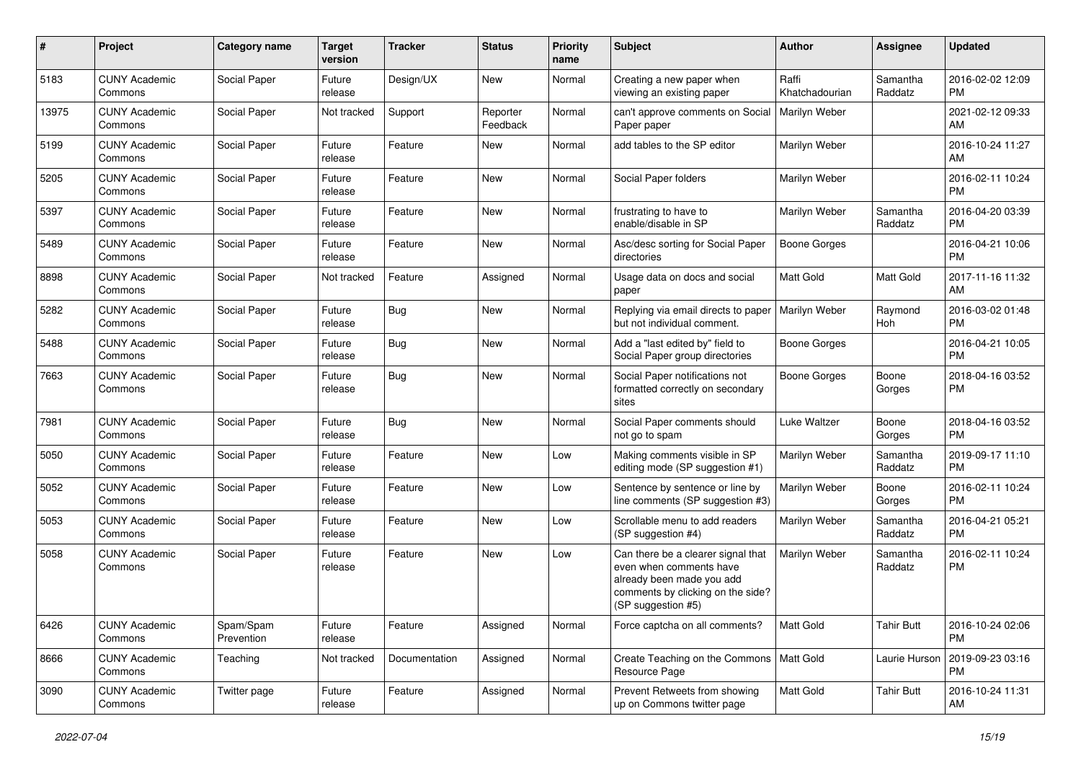| #     | Project                         | Category name           | <b>Target</b><br>version | <b>Tracker</b> | <b>Status</b>        | Priority<br>name | <b>Subject</b>                                                                                                                                        | <b>Author</b>           | <b>Assignee</b>     | <b>Updated</b>                |
|-------|---------------------------------|-------------------------|--------------------------|----------------|----------------------|------------------|-------------------------------------------------------------------------------------------------------------------------------------------------------|-------------------------|---------------------|-------------------------------|
| 5183  | <b>CUNY Academic</b><br>Commons | Social Paper            | Future<br>release        | Design/UX      | <b>New</b>           | Normal           | Creating a new paper when<br>viewing an existing paper                                                                                                | Raffi<br>Khatchadourian | Samantha<br>Raddatz | 2016-02-02 12:09<br><b>PM</b> |
| 13975 | <b>CUNY Academic</b><br>Commons | Social Paper            | Not tracked              | Support        | Reporter<br>Feedback | Normal           | can't approve comments on Social<br>Paper paper                                                                                                       | Marilyn Weber           |                     | 2021-02-12 09:33<br>AM        |
| 5199  | <b>CUNY Academic</b><br>Commons | Social Paper            | Future<br>release        | Feature        | New                  | Normal           | add tables to the SP editor                                                                                                                           | Marilyn Weber           |                     | 2016-10-24 11:27<br>AM        |
| 5205  | <b>CUNY Academic</b><br>Commons | Social Paper            | Future<br>release        | Feature        | New                  | Normal           | Social Paper folders                                                                                                                                  | Marilyn Weber           |                     | 2016-02-11 10:24<br><b>PM</b> |
| 5397  | <b>CUNY Academic</b><br>Commons | Social Paper            | Future<br>release        | Feature        | <b>New</b>           | Normal           | frustrating to have to<br>enable/disable in SP                                                                                                        | Marilyn Weber           | Samantha<br>Raddatz | 2016-04-20 03:39<br><b>PM</b> |
| 5489  | <b>CUNY Academic</b><br>Commons | Social Paper            | Future<br>release        | Feature        | New                  | Normal           | Asc/desc sorting for Social Paper<br>directories                                                                                                      | <b>Boone Gorges</b>     |                     | 2016-04-21 10:06<br><b>PM</b> |
| 8898  | <b>CUNY Academic</b><br>Commons | Social Paper            | Not tracked              | Feature        | Assigned             | Normal           | Usage data on docs and social<br>paper                                                                                                                | Matt Gold               | Matt Gold           | 2017-11-16 11:32<br>AM        |
| 5282  | <b>CUNY Academic</b><br>Commons | Social Paper            | Future<br>release        | Bug            | <b>New</b>           | Normal           | Replying via email directs to paper<br>but not individual comment.                                                                                    | Marilyn Weber           | Raymond<br>Hoh      | 2016-03-02 01:48<br>PM.       |
| 5488  | <b>CUNY Academic</b><br>Commons | Social Paper            | Future<br>release        | Bug            | New                  | Normal           | Add a "last edited by" field to<br>Social Paper group directories                                                                                     | Boone Gorges            |                     | 2016-04-21 10:05<br><b>PM</b> |
| 7663  | <b>CUNY Academic</b><br>Commons | Social Paper            | Future<br>release        | Bug            | <b>New</b>           | Normal           | Social Paper notifications not<br>formatted correctly on secondary<br>sites                                                                           | <b>Boone Gorges</b>     | Boone<br>Gorges     | 2018-04-16 03:52<br>PM.       |
| 7981  | <b>CUNY Academic</b><br>Commons | Social Paper            | Future<br>release        | <b>Bug</b>     | New                  | Normal           | Social Paper comments should<br>not go to spam                                                                                                        | Luke Waltzer            | Boone<br>Gorges     | 2018-04-16 03:52<br>PM.       |
| 5050  | <b>CUNY Academic</b><br>Commons | Social Paper            | Future<br>release        | Feature        | New                  | Low              | Making comments visible in SP<br>editing mode (SP suggestion #1)                                                                                      | Marilyn Weber           | Samantha<br>Raddatz | 2019-09-17 11:10<br><b>PM</b> |
| 5052  | <b>CUNY Academic</b><br>Commons | Social Paper            | Future<br>release        | Feature        | <b>New</b>           | Low              | Sentence by sentence or line by<br>line comments (SP suggestion #3)                                                                                   | Marilyn Weber           | Boone<br>Gorges     | 2016-02-11 10:24<br><b>PM</b> |
| 5053  | <b>CUNY Academic</b><br>Commons | Social Paper            | Future<br>release        | Feature        | New                  | Low              | Scrollable menu to add readers<br>(SP suggestion #4)                                                                                                  | Marilyn Weber           | Samantha<br>Raddatz | 2016-04-21 05:21<br><b>PM</b> |
| 5058  | <b>CUNY Academic</b><br>Commons | Social Paper            | Future<br>release        | Feature        | New                  | Low              | Can there be a clearer signal that<br>even when comments have<br>already been made you add<br>comments by clicking on the side?<br>(SP suggestion #5) | Marilyn Weber           | Samantha<br>Raddatz | 2016-02-11 10:24<br><b>PM</b> |
| 6426  | <b>CUNY Academic</b><br>Commons | Spam/Spam<br>Prevention | Future<br>release        | Feature        | Assigned             | Normal           | Force captcha on all comments?                                                                                                                        | Matt Gold               | <b>Tahir Butt</b>   | 2016-10-24 02:06<br><b>PM</b> |
| 8666  | <b>CUNY Academic</b><br>Commons | Teaching                | Not tracked              | Documentation  | Assigned             | Normal           | Create Teaching on the Commons   Matt Gold<br>Resource Page                                                                                           |                         | Laurie Hurson       | 2019-09-23 03:16<br>PM        |
| 3090  | <b>CUNY Academic</b><br>Commons | Twitter page            | Future<br>release        | Feature        | Assigned             | Normal           | Prevent Retweets from showing<br>up on Commons twitter page                                                                                           | Matt Gold               | <b>Tahir Butt</b>   | 2016-10-24 11:31<br>AM        |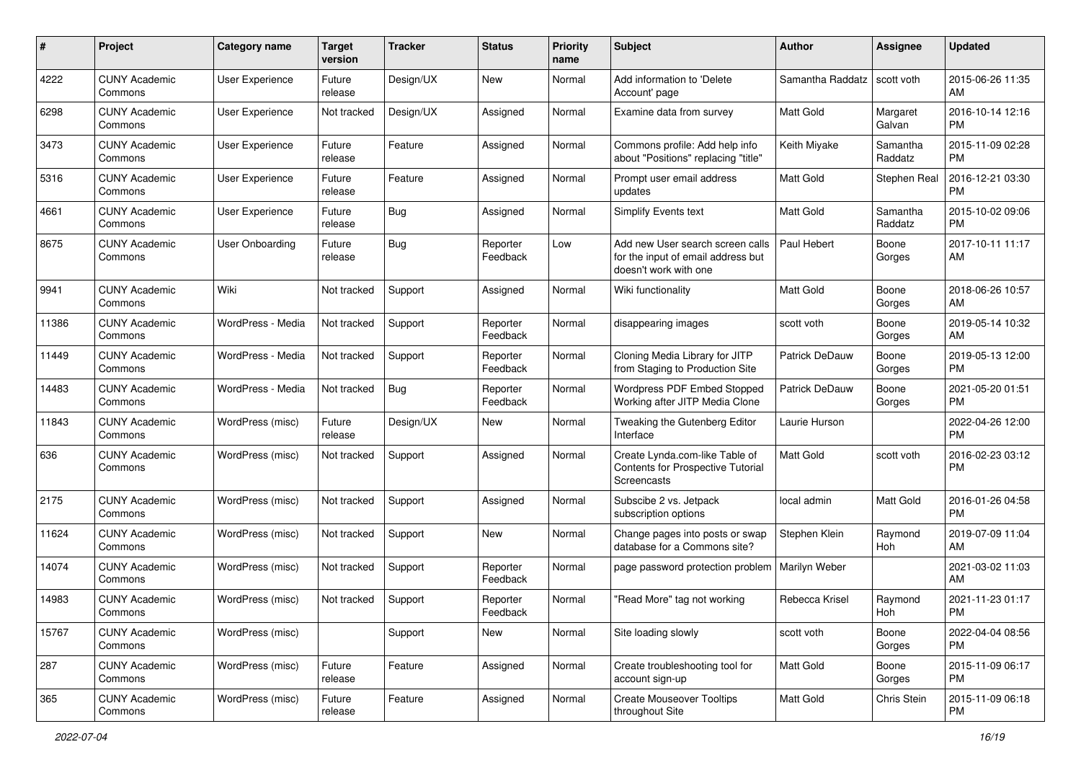| #     | Project                         | <b>Category name</b> | <b>Target</b><br>version | <b>Tracker</b> | <b>Status</b>        | Priority<br>name | <b>Subject</b>                                                                                  | <b>Author</b>         | <b>Assignee</b>     | <b>Updated</b>                |
|-------|---------------------------------|----------------------|--------------------------|----------------|----------------------|------------------|-------------------------------------------------------------------------------------------------|-----------------------|---------------------|-------------------------------|
| 4222  | <b>CUNY Academic</b><br>Commons | User Experience      | Future<br>release        | Design/UX      | New                  | Normal           | Add information to 'Delete<br>Account' page                                                     | Samantha Raddatz      | scott voth          | 2015-06-26 11:35<br>AM.       |
| 6298  | <b>CUNY Academic</b><br>Commons | User Experience      | Not tracked              | Design/UX      | Assigned             | Normal           | Examine data from survey                                                                        | <b>Matt Gold</b>      | Margaret<br>Galvan  | 2016-10-14 12:16<br><b>PM</b> |
| 3473  | <b>CUNY Academic</b><br>Commons | User Experience      | Future<br>release        | Feature        | Assigned             | Normal           | Commons profile: Add help info<br>about "Positions" replacing "title"                           | Keith Miyake          | Samantha<br>Raddatz | 2015-11-09 02:28<br><b>PM</b> |
| 5316  | <b>CUNY Academic</b><br>Commons | User Experience      | Future<br>release        | Feature        | Assigned             | Normal           | Prompt user email address<br>updates                                                            | <b>Matt Gold</b>      | Stephen Real        | 2016-12-21 03:30<br><b>PM</b> |
| 4661  | <b>CUNY Academic</b><br>Commons | User Experience      | Future<br>release        | Bug            | Assigned             | Normal           | Simplify Events text                                                                            | <b>Matt Gold</b>      | Samantha<br>Raddatz | 2015-10-02 09:06<br><b>PM</b> |
| 8675  | <b>CUNY Academic</b><br>Commons | User Onboarding      | Future<br>release        | Bug            | Reporter<br>Feedback | Low              | Add new User search screen calls<br>for the input of email address but<br>doesn't work with one | Paul Hebert           | Boone<br>Gorges     | 2017-10-11 11:17<br>AM        |
| 9941  | <b>CUNY Academic</b><br>Commons | Wiki                 | Not tracked              | Support        | Assigned             | Normal           | Wiki functionality                                                                              | Matt Gold             | Boone<br>Gorges     | 2018-06-26 10:57<br>AM.       |
| 11386 | <b>CUNY Academic</b><br>Commons | WordPress - Media    | Not tracked              | Support        | Reporter<br>Feedback | Normal           | disappearing images                                                                             | scott voth            | Boone<br>Gorges     | 2019-05-14 10:32<br>AM.       |
| 11449 | <b>CUNY Academic</b><br>Commons | WordPress - Media    | Not tracked              | Support        | Reporter<br>Feedback | Normal           | Cloning Media Library for JITP<br>from Staging to Production Site                               | Patrick DeDauw        | Boone<br>Gorges     | 2019-05-13 12:00<br>PM.       |
| 14483 | <b>CUNY Academic</b><br>Commons | WordPress - Media    | Not tracked              | Bug            | Reporter<br>Feedback | Normal           | Wordpress PDF Embed Stopped<br>Working after JITP Media Clone                                   | <b>Patrick DeDauw</b> | Boone<br>Gorges     | 2021-05-20 01:51<br><b>PM</b> |
| 11843 | <b>CUNY Academic</b><br>Commons | WordPress (misc)     | Future<br>release        | Design/UX      | New                  | Normal           | Tweaking the Gutenberg Editor<br>Interface                                                      | Laurie Hurson         |                     | 2022-04-26 12:00<br><b>PM</b> |
| 636   | <b>CUNY Academic</b><br>Commons | WordPress (misc)     | Not tracked              | Support        | Assigned             | Normal           | Create Lynda.com-like Table of<br>Contents for Prospective Tutorial<br>Screencasts              | Matt Gold             | scott voth          | 2016-02-23 03:12<br>PM.       |
| 2175  | <b>CUNY Academic</b><br>Commons | WordPress (misc)     | Not tracked              | Support        | Assigned             | Normal           | Subscibe 2 vs. Jetpack<br>subscription options                                                  | local admin           | Matt Gold           | 2016-01-26 04:58<br>PM.       |
| 11624 | <b>CUNY Academic</b><br>Commons | WordPress (misc)     | Not tracked              | Support        | New                  | Normal           | Change pages into posts or swap<br>database for a Commons site?                                 | Stephen Klein         | Raymond<br>Hoh      | 2019-07-09 11:04<br>AM        |
| 14074 | <b>CUNY Academic</b><br>Commons | WordPress (misc)     | Not tracked              | Support        | Reporter<br>Feedback | Normal           | page password protection problem   Marilyn Weber                                                |                       |                     | 2021-03-02 11:03<br>AM        |
| 14983 | <b>CUNY Academic</b><br>Commons | WordPress (misc)     | Not tracked              | Support        | Reporter<br>Feedback | Normal           | "Read More" tag not working                                                                     | Rebecca Krisel        | Raymond<br>Hoh      | 2021-11-23 01:17<br>PM        |
| 15767 | <b>CUNY Academic</b><br>Commons | WordPress (misc)     |                          | Support        | New                  | Normal           | Site loading slowly                                                                             | scott voth            | Boone<br>Gorges     | 2022-04-04 08:56<br>PM.       |
| 287   | <b>CUNY Academic</b><br>Commons | WordPress (misc)     | Future<br>release        | Feature        | Assigned             | Normal           | Create troubleshooting tool for<br>account sign-up                                              | Matt Gold             | Boone<br>Gorges     | 2015-11-09 06:17<br><b>PM</b> |
| 365   | <b>CUNY Academic</b><br>Commons | WordPress (misc)     | Future<br>release        | Feature        | Assigned             | Normal           | <b>Create Mouseover Tooltips</b><br>throughout Site                                             | Matt Gold             | Chris Stein         | 2015-11-09 06:18<br><b>PM</b> |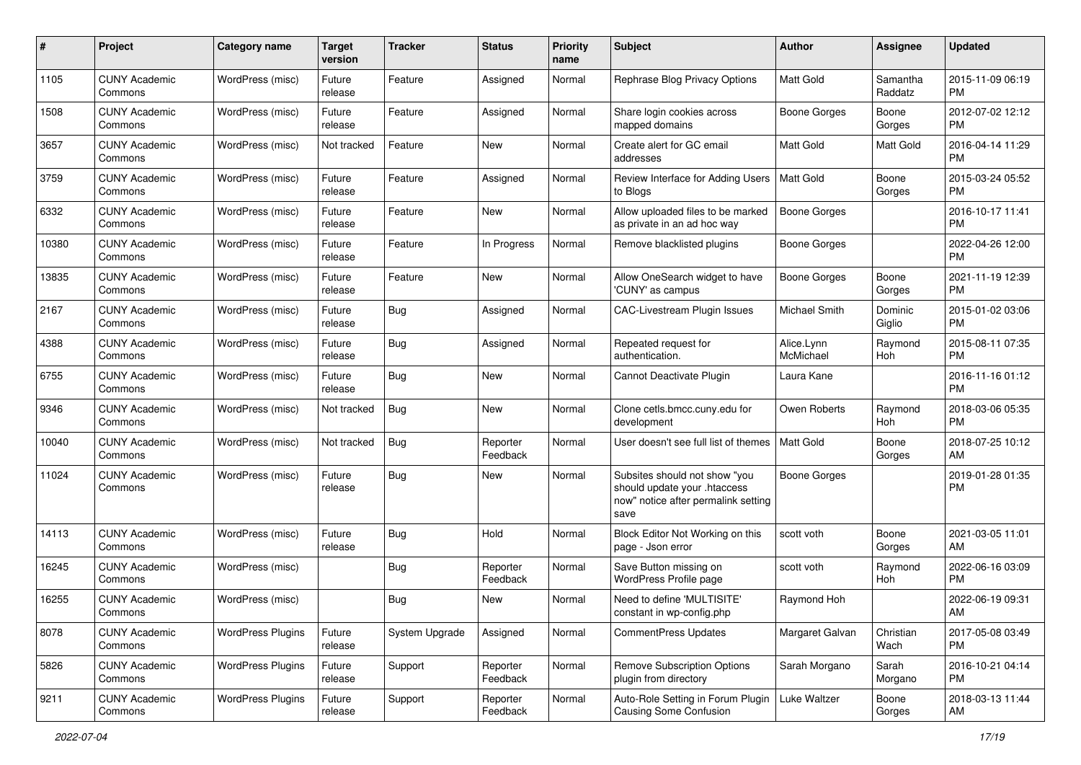| #     | Project                         | <b>Category name</b>     | <b>Target</b><br>version | <b>Tracker</b> | <b>Status</b>        | <b>Priority</b><br>name | <b>Subject</b>                                                                                               | <b>Author</b>           | <b>Assignee</b>     | <b>Updated</b>                |
|-------|---------------------------------|--------------------------|--------------------------|----------------|----------------------|-------------------------|--------------------------------------------------------------------------------------------------------------|-------------------------|---------------------|-------------------------------|
| 1105  | <b>CUNY Academic</b><br>Commons | WordPress (misc)         | Future<br>release        | Feature        | Assigned             | Normal                  | Rephrase Blog Privacy Options                                                                                | <b>Matt Gold</b>        | Samantha<br>Raddatz | 2015-11-09 06:19<br>PM.       |
| 1508  | <b>CUNY Academic</b><br>Commons | WordPress (misc)         | Future<br>release        | Feature        | Assigned             | Normal                  | Share login cookies across<br>mapped domains                                                                 | <b>Boone Gorges</b>     | Boone<br>Gorges     | 2012-07-02 12:12<br><b>PM</b> |
| 3657  | <b>CUNY Academic</b><br>Commons | WordPress (misc)         | Not tracked              | Feature        | New                  | Normal                  | Create alert for GC email<br>addresses                                                                       | Matt Gold               | Matt Gold           | 2016-04-14 11:29<br><b>PM</b> |
| 3759  | <b>CUNY Academic</b><br>Commons | WordPress (misc)         | Future<br>release        | Feature        | Assigned             | Normal                  | Review Interface for Adding Users<br>to Blogs                                                                | Matt Gold               | Boone<br>Gorges     | 2015-03-24 05:52<br>PM.       |
| 6332  | <b>CUNY Academic</b><br>Commons | WordPress (misc)         | Future<br>release        | Feature        | New                  | Normal                  | Allow uploaded files to be marked<br>as private in an ad hoc way                                             | Boone Gorges            |                     | 2016-10-17 11:41<br><b>PM</b> |
| 10380 | <b>CUNY Academic</b><br>Commons | WordPress (misc)         | Future<br>release        | Feature        | In Progress          | Normal                  | Remove blacklisted plugins                                                                                   | Boone Gorges            |                     | 2022-04-26 12:00<br>PM.       |
| 13835 | <b>CUNY Academic</b><br>Commons | WordPress (misc)         | Future<br>release        | Feature        | New                  | Normal                  | Allow OneSearch widget to have<br>'CUNY' as campus                                                           | <b>Boone Gorges</b>     | Boone<br>Gorges     | 2021-11-19 12:39<br>PM.       |
| 2167  | <b>CUNY Academic</b><br>Commons | WordPress (misc)         | Future<br>release        | Bug            | Assigned             | Normal                  | <b>CAC-Livestream Plugin Issues</b>                                                                          | Michael Smith           | Dominic<br>Giglio   | 2015-01-02 03:06<br>PM.       |
| 4388  | <b>CUNY Academic</b><br>Commons | WordPress (misc)         | Future<br>release        | Bug            | Assigned             | Normal                  | Repeated request for<br>authentication.                                                                      | Alice.Lynn<br>McMichael | Raymond<br>Hoh      | 2015-08-11 07:35<br><b>PM</b> |
| 6755  | <b>CUNY Academic</b><br>Commons | WordPress (misc)         | Future<br>release        | Bug            | New                  | Normal                  | Cannot Deactivate Plugin                                                                                     | Laura Kane              |                     | 2016-11-16 01:12<br><b>PM</b> |
| 9346  | <b>CUNY Academic</b><br>Commons | WordPress (misc)         | Not tracked              | Bug            | New                  | Normal                  | Clone cetls.bmcc.cuny.edu for<br>development                                                                 | Owen Roberts            | Raymond<br>Hoh      | 2018-03-06 05:35<br><b>PM</b> |
| 10040 | <b>CUNY Academic</b><br>Commons | WordPress (misc)         | Not tracked              | Bug            | Reporter<br>Feedback | Normal                  | User doesn't see full list of themes                                                                         | <b>Matt Gold</b>        | Boone<br>Gorges     | 2018-07-25 10:12<br>AM        |
| 11024 | <b>CUNY Academic</b><br>Commons | WordPress (misc)         | Future<br>release        | Bug            | New                  | Normal                  | Subsites should not show "you<br>should update your .htaccess<br>now" notice after permalink setting<br>save | Boone Gorges            |                     | 2019-01-28 01:35<br>PM.       |
| 14113 | <b>CUNY Academic</b><br>Commons | WordPress (misc)         | Future<br>release        | Bug            | Hold                 | Normal                  | Block Editor Not Working on this<br>page - Json error                                                        | scott voth              | Boone<br>Gorges     | 2021-03-05 11:01<br>AM        |
| 16245 | <b>CUNY Academic</b><br>Commons | WordPress (misc)         |                          | Bug            | Reporter<br>Feedback | Normal                  | Save Button missing on<br>WordPress Profile page                                                             | scott voth              | Raymond<br>Hoh      | 2022-06-16 03:09<br><b>PM</b> |
| 16255 | <b>CUNY Academic</b><br>Commons | WordPress (misc)         |                          | <b>Bug</b>     | New                  | Normal                  | Need to define 'MULTISITE'<br>constant in wp-config.php                                                      | Raymond Hoh             |                     | 2022-06-19 09:31<br>AM        |
| 8078  | <b>CUNY Academic</b><br>Commons | <b>WordPress Plugins</b> | Future<br>release        | System Upgrade | Assigned             | Normal                  | <b>CommentPress Updates</b>                                                                                  | Margaret Galvan         | Christian<br>Wach   | 2017-05-08 03:49<br>PM        |
| 5826  | <b>CUNY Academic</b><br>Commons | <b>WordPress Plugins</b> | Future<br>release        | Support        | Reporter<br>Feedback | Normal                  | Remove Subscription Options<br>plugin from directory                                                         | Sarah Morgano           | Sarah<br>Morgano    | 2016-10-21 04:14<br><b>PM</b> |
| 9211  | <b>CUNY Academic</b><br>Commons | <b>WordPress Plugins</b> | Future<br>release        | Support        | Reporter<br>Feedback | Normal                  | Auto-Role Setting in Forum Plugin<br>Causing Some Confusion                                                  | Luke Waltzer            | Boone<br>Gorges     | 2018-03-13 11:44<br>AM        |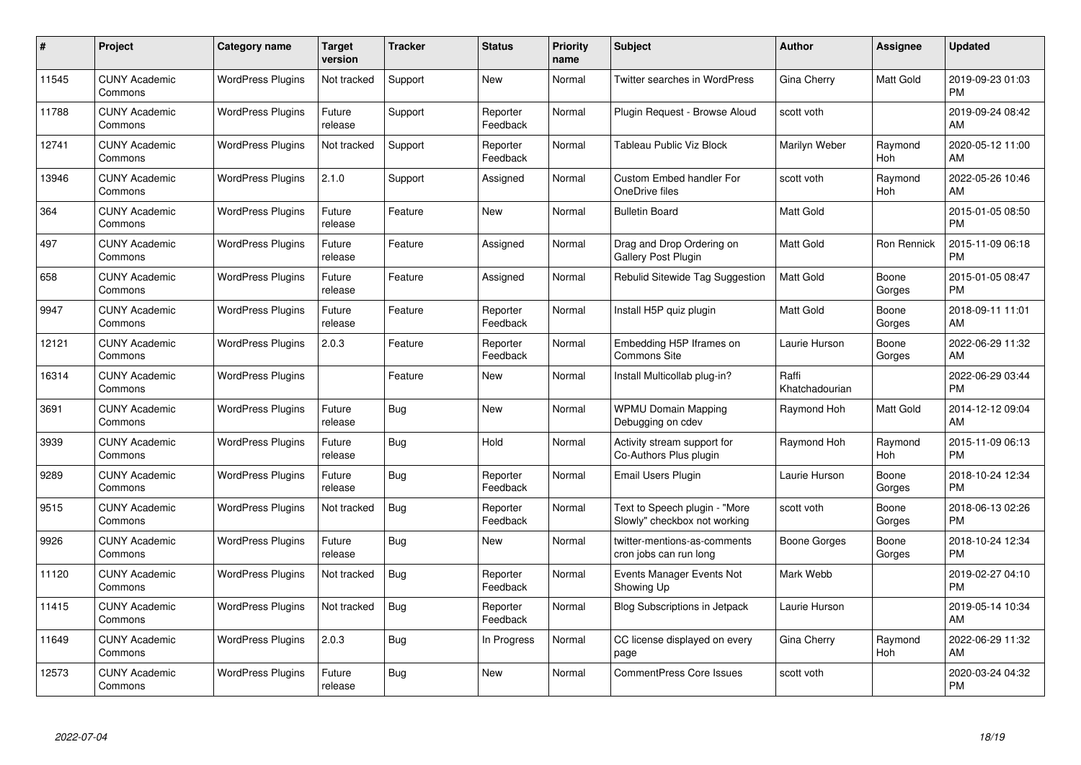| #     | Project                         | <b>Category name</b>     | <b>Target</b><br>version | <b>Tracker</b> | <b>Status</b>        | Priority<br>name | <b>Subject</b>                                                | <b>Author</b>           | <b>Assignee</b>    | <b>Updated</b>                |
|-------|---------------------------------|--------------------------|--------------------------|----------------|----------------------|------------------|---------------------------------------------------------------|-------------------------|--------------------|-------------------------------|
| 11545 | <b>CUNY Academic</b><br>Commons | <b>WordPress Plugins</b> | Not tracked              | Support        | <b>New</b>           | Normal           | <b>Twitter searches in WordPress</b>                          | Gina Cherry             | <b>Matt Gold</b>   | 2019-09-23 01:03<br><b>PM</b> |
| 11788 | <b>CUNY Academic</b><br>Commons | <b>WordPress Plugins</b> | Future<br>release        | Support        | Reporter<br>Feedback | Normal           | Plugin Request - Browse Aloud                                 | scott voth              |                    | 2019-09-24 08:42<br>AM        |
| 12741 | <b>CUNY Academic</b><br>Commons | <b>WordPress Plugins</b> | Not tracked              | Support        | Reporter<br>Feedback | Normal           | Tableau Public Viz Block                                      | Marilyn Weber           | Raymond<br>Hoh     | 2020-05-12 11:00<br>AM        |
| 13946 | <b>CUNY Academic</b><br>Commons | <b>WordPress Plugins</b> | 2.1.0                    | Support        | Assigned             | Normal           | <b>Custom Embed handler For</b><br>OneDrive files             | scott voth              | Raymond<br>Hoh     | 2022-05-26 10:46<br>AM        |
| 364   | <b>CUNY Academic</b><br>Commons | <b>WordPress Plugins</b> | Future<br>release        | Feature        | <b>New</b>           | Normal           | <b>Bulletin Board</b>                                         | <b>Matt Gold</b>        |                    | 2015-01-05 08:50<br><b>PM</b> |
| 497   | <b>CUNY Academic</b><br>Commons | <b>WordPress Plugins</b> | Future<br>release        | Feature        | Assigned             | Normal           | Drag and Drop Ordering on<br>Gallery Post Plugin              | <b>Matt Gold</b>        | <b>Ron Rennick</b> | 2015-11-09 06:18<br><b>PM</b> |
| 658   | <b>CUNY Academic</b><br>Commons | <b>WordPress Plugins</b> | Future<br>release        | Feature        | Assigned             | Normal           | Rebulid Sitewide Tag Suggestion                               | <b>Matt Gold</b>        | Boone<br>Gorges    | 2015-01-05 08:47<br><b>PM</b> |
| 9947  | <b>CUNY Academic</b><br>Commons | <b>WordPress Plugins</b> | Future<br>release        | Feature        | Reporter<br>Feedback | Normal           | Install H5P quiz plugin                                       | Matt Gold               | Boone<br>Gorges    | 2018-09-11 11:01<br>AM        |
| 12121 | <b>CUNY Academic</b><br>Commons | <b>WordPress Plugins</b> | 2.0.3                    | Feature        | Reporter<br>Feedback | Normal           | Embedding H5P Iframes on<br><b>Commons Site</b>               | Laurie Hurson           | Boone<br>Gorges    | 2022-06-29 11:32<br>AM        |
| 16314 | <b>CUNY Academic</b><br>Commons | <b>WordPress Plugins</b> |                          | Feature        | New                  | Normal           | Install Multicollab plug-in?                                  | Raffi<br>Khatchadourian |                    | 2022-06-29 03:44<br><b>PM</b> |
| 3691  | <b>CUNY Academic</b><br>Commons | <b>WordPress Plugins</b> | Future<br>release        | Bug            | <b>New</b>           | Normal           | <b>WPMU Domain Mapping</b><br>Debugging on cdev               | Raymond Hoh             | Matt Gold          | 2014-12-12 09:04<br>AM        |
| 3939  | <b>CUNY Academic</b><br>Commons | <b>WordPress Plugins</b> | Future<br>release        | Bug            | Hold                 | Normal           | Activity stream support for<br>Co-Authors Plus plugin         | Raymond Hoh             | Raymond<br>Hoh     | 2015-11-09 06:13<br><b>PM</b> |
| 9289  | <b>CUNY Academic</b><br>Commons | <b>WordPress Plugins</b> | Future<br>release        | Bug            | Reporter<br>Feedback | Normal           | Email Users Plugin                                            | Laurie Hurson           | Boone<br>Gorges    | 2018-10-24 12:34<br><b>PM</b> |
| 9515  | <b>CUNY Academic</b><br>Commons | <b>WordPress Plugins</b> | Not tracked              | Bug            | Reporter<br>Feedback | Normal           | Text to Speech plugin - "More<br>Slowly" checkbox not working | scott voth              | Boone<br>Gorges    | 2018-06-13 02:26<br><b>PM</b> |
| 9926  | <b>CUNY Academic</b><br>Commons | <b>WordPress Plugins</b> | Future<br>release        | Bug            | New                  | Normal           | twitter-mentions-as-comments<br>cron jobs can run long        | Boone Gorges            | Boone<br>Gorges    | 2018-10-24 12:34<br><b>PM</b> |
| 11120 | <b>CUNY Academic</b><br>Commons | <b>WordPress Plugins</b> | Not tracked              | <b>Bug</b>     | Reporter<br>Feedback | Normal           | Events Manager Events Not<br>Showing Up                       | Mark Webb               |                    | 2019-02-27 04:10<br><b>PM</b> |
| 11415 | <b>CUNY Academic</b><br>Commons | <b>WordPress Plugins</b> | Not tracked              | Bug            | Reporter<br>Feedback | Normal           | Blog Subscriptions in Jetpack                                 | Laurie Hurson           |                    | 2019-05-14 10:34<br>AM        |
| 11649 | <b>CUNY Academic</b><br>Commons | <b>WordPress Plugins</b> | 2.0.3                    | Bug            | In Progress          | Normal           | CC license displayed on every<br>page                         | Gina Cherry             | Raymond<br>Hoh     | 2022-06-29 11:32<br>AM        |
| 12573 | <b>CUNY Academic</b><br>Commons | <b>WordPress Plugins</b> | Future<br>release        | <b>Bug</b>     | <b>New</b>           | Normal           | <b>CommentPress Core Issues</b>                               | scott voth              |                    | 2020-03-24 04:32<br><b>PM</b> |